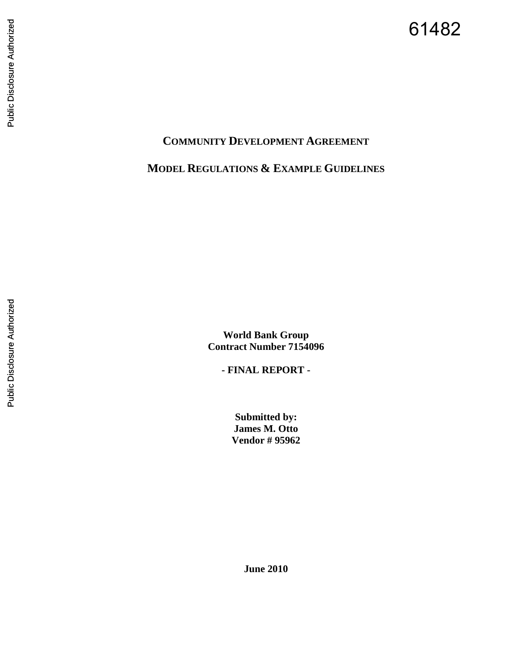# Public Disclosure Authorized Public Disclosure Authorized

# **COMMUNITY DEVELOPMENT AGREEMENT**

**MODEL REGULATIONS & EXAMPLE GUIDELINES**

**World Bank Group Contract Number 7154096 - FINAL REPORT -** 

**Submitted by: James M. Otto Vendor # 95962** 

**June 2010**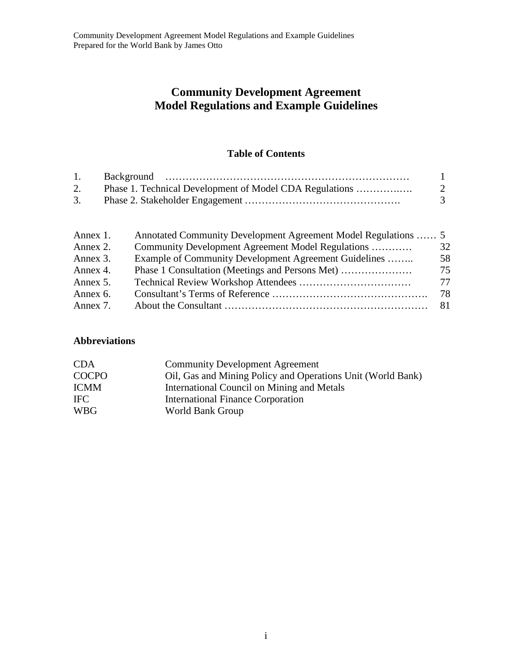## **Community Development Agreement Model Regulations and Example Guidelines**

## **Table of Contents**

| 1. |                                                         |              |
|----|---------------------------------------------------------|--------------|
|    | Phase 1. Technical Development of Model CDA Regulations | <sup>2</sup> |
| 3. |                                                         |              |

| Annex 1. | Annotated Community Development Agreement Model Regulations  5 |      |
|----------|----------------------------------------------------------------|------|
| Annex 2. | Community Development Agreement Model Regulations              | 32   |
| Annex 3. | Example of Community Development Agreement Guidelines          | 58   |
| Annex 4. |                                                                | 75   |
| Annex 5. |                                                                | 77   |
| Annex 6. |                                                                | 78.  |
| Annex 7. |                                                                | -81- |
|          |                                                                |      |

## **Abbreviations**

| <b>CDA</b>   | <b>Community Development Agreement</b>                      |
|--------------|-------------------------------------------------------------|
| <b>COCPO</b> | Oil, Gas and Mining Policy and Operations Unit (World Bank) |
| <b>ICMM</b>  | International Council on Mining and Metals                  |
| <b>IFC</b>   | <b>International Finance Corporation</b>                    |
| <b>WBG</b>   | World Bank Group                                            |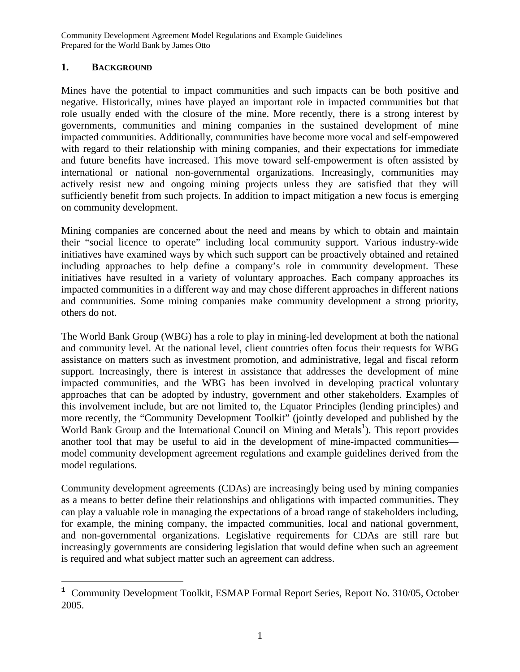## **1. BACKGROUND**

Mines have the potential to impact communities and such impacts can be both positive and negative. Historically, mines have played an important role in impacted communities but that role usually ended with the closure of the mine. More recently, there is a strong interest by governments, communities and mining companies in the sustained development of mine impacted communities. Additionally, communities have become more vocal and self-empowered with regard to their relationship with mining companies, and their expectations for immediate and future benefits have increased. This move toward self-empowerment is often assisted by international or national non-governmental organizations. Increasingly, communities may actively resist new and ongoing mining projects unless they are satisfied that they will sufficiently benefit from such projects. In addition to impact mitigation a new focus is emerging on community development.

Mining companies are concerned about the need and means by which to obtain and maintain their "social licence to operate" including local community support. Various industry-wide initiatives have examined ways by which such support can be proactively obtained and retained including approaches to help define a company's role in community development. These initiatives have resulted in a variety of voluntary approaches. Each company approaches its impacted communities in a different way and may chose different approaches in different nations and communities. Some mining companies make community development a strong priority, others do not.

The World Bank Group (WBG) has a role to play in mining-led development at both the national and community level. At the national level, client countries often focus their requests for WBG assistance on matters such as investment promotion, and administrative, legal and fiscal reform support. Increasingly, there is interest in assistance that addresses the development of mine impacted communities, and the WBG has been involved in developing practical voluntary approaches that can be adopted by industry, government and other stakeholders. Examples of this involvement include, but are not limited to, the Equator Principles (lending principles) and more recently, the "Community Development Toolkit" (jointly developed and published by the World Bank Group and the International Council on Mining and Metals<sup>1</sup>). This report provides another tool that may be useful to aid in the development of mine-impacted communities model community development agreement regulations and example guidelines derived from the model regulations.

Community development agreements (CDAs) are increasingly being used by mining companies as a means to better define their relationships and obligations with impacted communities. They can play a valuable role in managing the expectations of a broad range of stakeholders including, for example, the mining company, the impacted communities, local and national government, and non-governmental organizations. Legislative requirements for CDAs are still rare but increasingly governments are considering legislation that would define when such an agreement is required and what subject matter such an agreement can address.

 $1$  Community Development Toolkit, ESMAP Formal Report Series, Report No. 310/05, October 2005.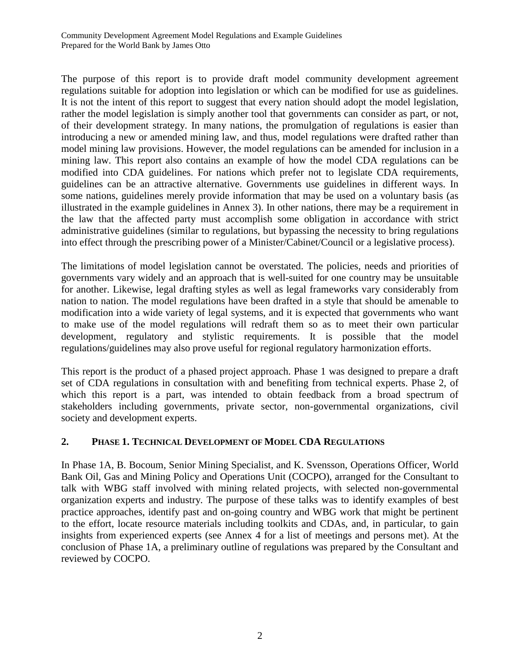The purpose of this report is to provide draft model community development agreement regulations suitable for adoption into legislation or which can be modified for use as guidelines. It is not the intent of this report to suggest that every nation should adopt the model legislation, rather the model legislation is simply another tool that governments can consider as part, or not, of their development strategy. In many nations, the promulgation of regulations is easier than introducing a new or amended mining law, and thus, model regulations were drafted rather than model mining law provisions. However, the model regulations can be amended for inclusion in a mining law. This report also contains an example of how the model CDA regulations can be modified into CDA guidelines. For nations which prefer not to legislate CDA requirements, guidelines can be an attractive alternative. Governments use guidelines in different ways. In some nations, guidelines merely provide information that may be used on a voluntary basis (as illustrated in the example guidelines in Annex 3). In other nations, there may be a requirement in the law that the affected party must accomplish some obligation in accordance with strict administrative guidelines (similar to regulations, but bypassing the necessity to bring regulations into effect through the prescribing power of a Minister/Cabinet/Council or a legislative process).

The limitations of model legislation cannot be overstated. The policies, needs and priorities of governments vary widely and an approach that is well-suited for one country may be unsuitable for another. Likewise, legal drafting styles as well as legal frameworks vary considerably from nation to nation. The model regulations have been drafted in a style that should be amenable to modification into a wide variety of legal systems, and it is expected that governments who want to make use of the model regulations will redraft them so as to meet their own particular development, regulatory and stylistic requirements. It is possible that the model regulations/guidelines may also prove useful for regional regulatory harmonization efforts.

This report is the product of a phased project approach. Phase 1 was designed to prepare a draft set of CDA regulations in consultation with and benefiting from technical experts. Phase 2, of which this report is a part, was intended to obtain feedback from a broad spectrum of stakeholders including governments, private sector, non-governmental organizations, civil society and development experts.

## **2. PHASE 1. TECHNICAL DEVELOPMENT OF MODEL CDA REGULATIONS**

In Phase 1A, B. Bocoum, Senior Mining Specialist, and K. Svensson, Operations Officer, World Bank Oil, Gas and Mining Policy and Operations Unit (COCPO), arranged for the Consultant to talk with WBG staff involved with mining related projects, with selected non-governmental organization experts and industry. The purpose of these talks was to identify examples of best practice approaches, identify past and on-going country and WBG work that might be pertinent to the effort, locate resource materials including toolkits and CDAs, and, in particular, to gain insights from experienced experts (see Annex 4 for a list of meetings and persons met). At the conclusion of Phase 1A, a preliminary outline of regulations was prepared by the Consultant and reviewed by COCPO.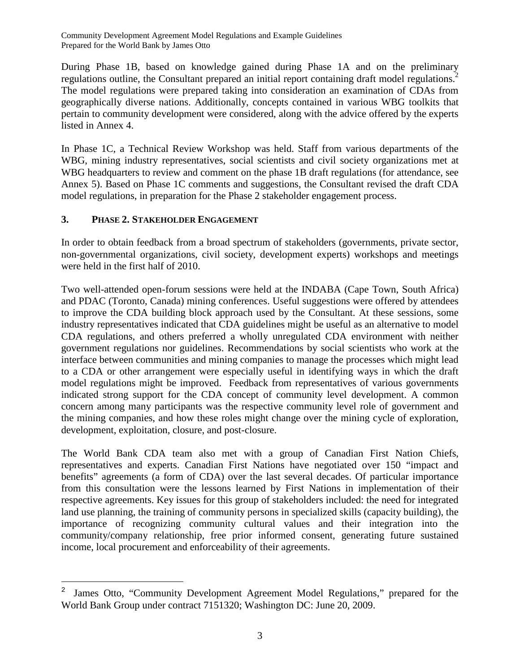During Phase 1B, based on knowledge gained during Phase 1A and on the preliminary regulations outline, the Consultant prepared an initial report containing draft model regulations.<sup>2</sup> The model regulations were prepared taking into consideration an examination of CDAs from geographically diverse nations. Additionally, concepts contained in various WBG toolkits that pertain to community development were considered, along with the advice offered by the experts listed in Annex 4.

In Phase 1C, a Technical Review Workshop was held. Staff from various departments of the WBG, mining industry representatives, social scientists and civil society organizations met at WBG headquarters to review and comment on the phase 1B draft regulations (for attendance, see Annex 5). Based on Phase 1C comments and suggestions, the Consultant revised the draft CDA model regulations, in preparation for the Phase 2 stakeholder engagement process.

## **3. PHASE 2. STAKEHOLDER ENGAGEMENT**

In order to obtain feedback from a broad spectrum of stakeholders (governments, private sector, non-governmental organizations, civil society, development experts) workshops and meetings were held in the first half of 2010.

Two well-attended open-forum sessions were held at the INDABA (Cape Town, South Africa) and PDAC (Toronto, Canada) mining conferences. Useful suggestions were offered by attendees to improve the CDA building block approach used by the Consultant. At these sessions, some industry representatives indicated that CDA guidelines might be useful as an alternative to model CDA regulations, and others preferred a wholly unregulated CDA environment with neither government regulations nor guidelines. Recommendations by social scientists who work at the interface between communities and mining companies to manage the processes which might lead to a CDA or other arrangement were especially useful in identifying ways in which the draft model regulations might be improved. Feedback from representatives of various governments indicated strong support for the CDA concept of community level development. A common concern among many participants was the respective community level role of government and the mining companies, and how these roles might change over the mining cycle of exploration, development, exploitation, closure, and post-closure.

The World Bank CDA team also met with a group of Canadian First Nation Chiefs, representatives and experts. Canadian First Nations have negotiated over 150 "impact and benefits" agreements (a form of CDA) over the last several decades. Of particular importance from this consultation were the lessons learned by First Nations in implementation of their respective agreements. Key issues for this group of stakeholders included: the need for integrated land use planning, the training of community persons in specialized skills (capacity building), the importance of recognizing community cultural values and their integration into the community/company relationship, free prior informed consent, generating future sustained income, local procurement and enforceability of their agreements.

<sup>&</sup>lt;sup>2</sup> James Otto, "Community Development Agreement Model Regulations," prepared for the World Bank Group under contract 7151320; Washington DC: June 20, 2009.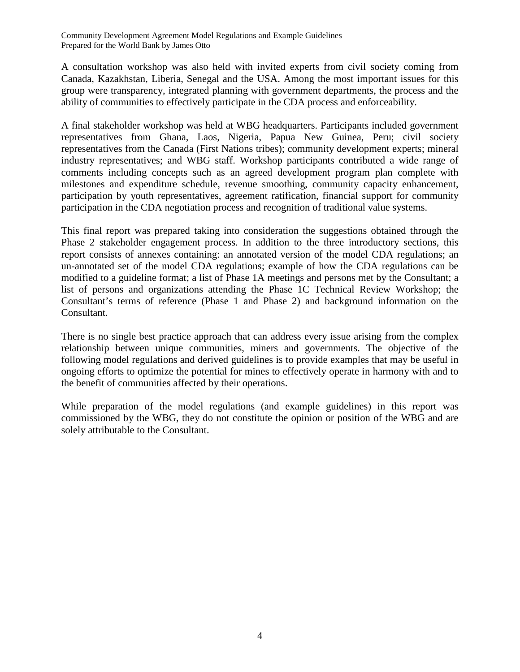A consultation workshop was also held with invited experts from civil society coming from Canada, Kazakhstan, Liberia, Senegal and the USA. Among the most important issues for this group were transparency, integrated planning with government departments, the process and the ability of communities to effectively participate in the CDA process and enforceability.

A final stakeholder workshop was held at WBG headquarters. Participants included government representatives from Ghana, Laos, Nigeria, Papua New Guinea, Peru; civil society representatives from the Canada (First Nations tribes); community development experts; mineral industry representatives; and WBG staff. Workshop participants contributed a wide range of comments including concepts such as an agreed development program plan complete with milestones and expenditure schedule, revenue smoothing, community capacity enhancement, participation by youth representatives, agreement ratification, financial support for community participation in the CDA negotiation process and recognition of traditional value systems.

This final report was prepared taking into consideration the suggestions obtained through the Phase 2 stakeholder engagement process. In addition to the three introductory sections, this report consists of annexes containing: an annotated version of the model CDA regulations; an un-annotated set of the model CDA regulations; example of how the CDA regulations can be modified to a guideline format; a list of Phase 1A meetings and persons met by the Consultant; a list of persons and organizations attending the Phase 1C Technical Review Workshop; the Consultant's terms of reference (Phase 1 and Phase 2) and background information on the Consultant.

There is no single best practice approach that can address every issue arising from the complex relationship between unique communities, miners and governments. The objective of the following model regulations and derived guidelines is to provide examples that may be useful in ongoing efforts to optimize the potential for mines to effectively operate in harmony with and to the benefit of communities affected by their operations.

While preparation of the model regulations (and example guidelines) in this report was commissioned by the WBG, they do not constitute the opinion or position of the WBG and are solely attributable to the Consultant.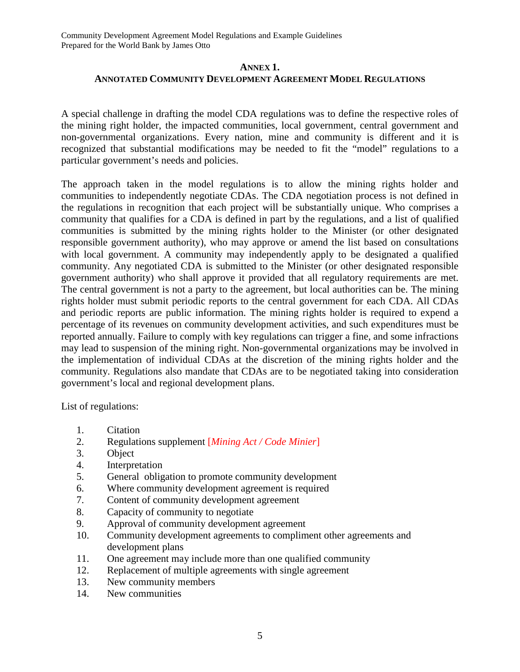## **ANNEX 1. ANNOTATED COMMUNITY DEVELOPMENT AGREEMENT MODEL REGULATIONS**

A special challenge in drafting the model CDA regulations was to define the respective roles of the mining right holder, the impacted communities, local government, central government and non-governmental organizations. Every nation, mine and community is different and it is recognized that substantial modifications may be needed to fit the "model" regulations to a particular government's needs and policies.

The approach taken in the model regulations is to allow the mining rights holder and communities to independently negotiate CDAs. The CDA negotiation process is not defined in the regulations in recognition that each project will be substantially unique. Who comprises a community that qualifies for a CDA is defined in part by the regulations, and a list of qualified communities is submitted by the mining rights holder to the Minister (or other designated responsible government authority), who may approve or amend the list based on consultations with local government. A community may independently apply to be designated a qualified community. Any negotiated CDA is submitted to the Minister (or other designated responsible government authority) who shall approve it provided that all regulatory requirements are met. The central government is not a party to the agreement, but local authorities can be. The mining rights holder must submit periodic reports to the central government for each CDA. All CDAs and periodic reports are public information. The mining rights holder is required to expend a percentage of its revenues on community development activities, and such expenditures must be reported annually. Failure to comply with key regulations can trigger a fine, and some infractions may lead to suspension of the mining right. Non-governmental organizations may be involved in the implementation of individual CDAs at the discretion of the mining rights holder and the community. Regulations also mandate that CDAs are to be negotiated taking into consideration government's local and regional development plans.

List of regulations:

- 1. Citation
- 2. Regulations supplement [*Mining Act / Code Minier*]
- 3. Object
- 4. Interpretation
- 5. General obligation to promote community development
- 6. Where community development agreement is required
- 7. Content of community development agreement
- 8. Capacity of community to negotiate
- 9. Approval of community development agreement
- 10. Community development agreements to compliment other agreements and development plans
- 11. One agreement may include more than one qualified community
- 12. Replacement of multiple agreements with single agreement
- 13. New community members
- 14. New communities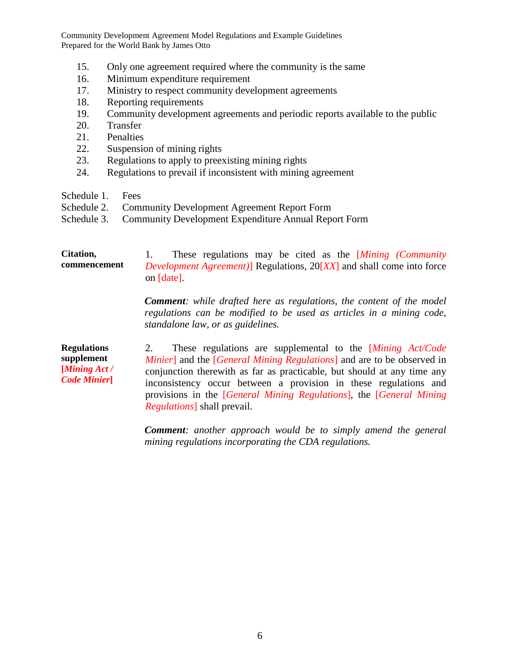- 15. Only one agreement required where the community is the same
- 16. Minimum expenditure requirement
- 17. Ministry to respect community development agreements
- 18. Reporting requirements
- 19. Community development agreements and periodic reports available to the public
- 20. Transfer
- 21. Penalties
- 22. Suspension of mining rights
- 23. Regulations to apply to preexisting mining rights
- 24. Regulations to prevail if inconsistent with mining agreement
- Schedule 1. Fees
- Schedule 2. Community Development Agreement Report Form

*Regulations*] shall prevail.

Schedule 3. Community Development Expenditure Annual Report Form

#### **Citation, commencement**  1. These regulations may be cited as the [*Mining (Community Development Agreement)*] Regulations, 20[*XX*] and shall come into force on [date]. *Comment: while drafted here as regulations, the content of the model regulations can be modified to be used as articles in a mining code, standalone law, or as guidelines.*  **Regulations supplement [***Mining Act / Code Minier***]** 2. These regulations are supplemental to the [*Mining Act/Code Minier*] and the [*General Mining Regulations*] and are to be observed in conjunction therewith as far as practicable, but should at any time any inconsistency occur between a provision in these regulations and provisions in the [*General Mining Regulations*], the [*General Mining*

*Comment: another approach would be to simply amend the general mining regulations incorporating the CDA regulations.*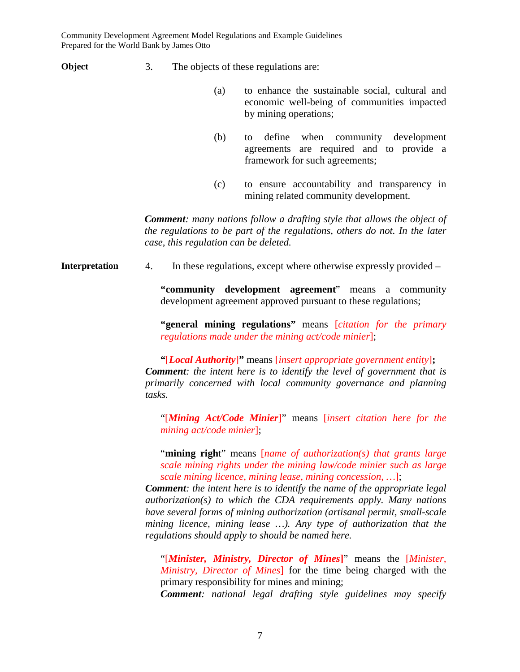**Object** 3. The objects of these regulations are:

- (a) to enhance the sustainable social, cultural and economic well-being of communities impacted by mining operations;
- (b) to define when community development agreements are required and to provide a framework for such agreements;
- (c) to ensure accountability and transparency in mining related community development.

*Comment: many nations follow a drafting style that allows the object of the regulations to be part of the regulations, others do not. In the later case, this regulation can be deleted.* 

**Interpretation** 4. In these regulations, except where otherwise expressly provided –

**"community development agreement**" means a community development agreement approved pursuant to these regulations;

**"general mining regulations"** means [*citation for the primary regulations made under the mining act/code minier*];

**"**[*Local Authority*]**"** means [*insert appropriate government entity*]**;** *Comment: the intent here is to identify the level of government that is primarily concerned with local community governance and planning tasks.* 

"[*Mining Act/Code Minier*]" means [*insert citation here for the mining act/code minier*];

"**mining righ**t" means [*name of authorization(s) that grants large scale mining rights under the mining law/code minier such as large scale mining licence, mining lease, mining concession, …*];

*Comment: the intent here is to identify the name of the appropriate legal authorization(s) to which the CDA requirements apply. Many nations have several forms of mining authorization (artisanal permit, small-scale mining licence, mining lease …). Any type of authorization that the regulations should apply to should be named here.* 

"[*Minister, Ministry, Director of Mines***]**" means the [*Minister, Ministry, Director of Mines*] for the time being charged with the primary responsibility for mines and mining;

*Comment: national legal drafting style guidelines may specify*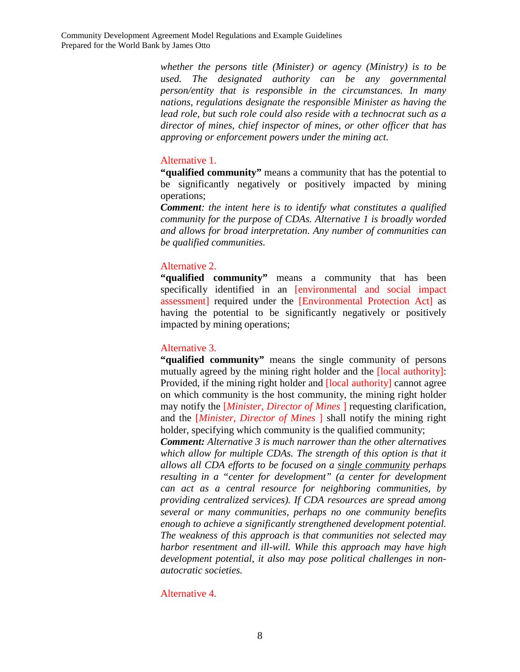*whether the persons title (Minister) or agency (Ministry) is to be used. The designated authority can be any governmental person/entity that is responsible in the circumstances. In many nations, regulations designate the responsible Minister as having the lead role, but such role could also reside with a technocrat such as a director of mines, chief inspector of mines, or other officer that has approving or enforcement powers under the mining act.* 

## Alternative 1.

**"qualified community"** means a community that has the potential to be significantly negatively or positively impacted by mining operations;

*Comment: the intent here is to identify what constitutes a qualified community for the purpose of CDAs. Alternative 1 is broadly worded and allows for broad interpretation. Any number of communities can be qualified communities.*

## Alternative 2.

**"qualified community"** means a community that has been specifically identified in an [environmental and social impact assessment] required under the [Environmental Protection Act] as having the potential to be significantly negatively or positively impacted by mining operations;

## Alternative 3.

**"qualified community"** means the single community of persons mutually agreed by the mining right holder and the [local authority]: Provided, if the mining right holder and [local authority] cannot agree on which community is the host community, the mining right holder may notify the [*Minister, Director of Mines* ] requesting clarification, and the [*Minister, Director of Mines* ] shall notify the mining right holder, specifying which community is the qualified community;

*Comment: Alternative 3 is much narrower than the other alternatives*  which allow for multiple CDAs. The strength of this option is that it *allows all CDA efforts to be focused on a single community perhaps resulting in a "center for development" (a center for development can act as a central resource for neighboring communities, by providing centralized services). If CDA resources are spread among several or many communities, perhaps no one community benefits enough to achieve a significantly strengthened development potential. The weakness of this approach is that communities not selected may harbor resentment and ill-will. While this approach may have high development potential, it also may pose political challenges in nonautocratic societies.*

## Alternative 4.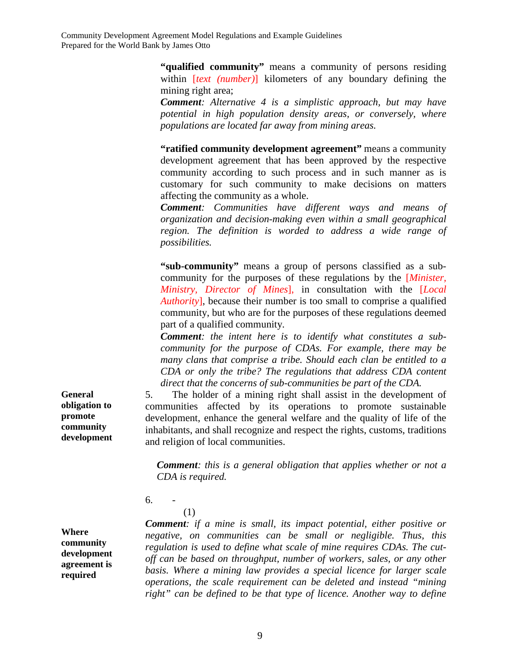> **"qualified community"** means a community of persons residing within [*text (number)*] kilometers of any boundary defining the mining right area;

> *Comment: Alternative 4 is a simplistic approach, but may have potential in high population density areas, or conversely, where populations are located far away from mining areas.*

> **"ratified community development agreement"** means a community development agreement that has been approved by the respective community according to such process and in such manner as is customary for such community to make decisions on matters affecting the community as a whole.

> *Comment: Communities have different ways and means of organization and decision-making even within a small geographical region. The definition is worded to address a wide range of possibilities.*

> **"sub-community"** means a group of persons classified as a subcommunity for the purposes of these regulations by the [*Minister, Ministry, Director of Mines*], in consultation with the [*Local Authority*], because their number is too small to comprise a qualified community, but who are for the purposes of these regulations deemed part of a qualified community.

> *Comment: the intent here is to identify what constitutes a subcommunity for the purpose of CDAs. For example, there may be many clans that comprise a tribe. Should each clan be entitled to a CDA or only the tribe? The regulations that address CDA content direct that the concerns of sub-communities be part of the CDA.*

5. The holder of a mining right shall assist in the development of communities affected by its operations to promote sustainable development, enhance the general welfare and the quality of life of the inhabitants, and shall recognize and respect the rights, customs, traditions and religion of local communities.

*Comment: this is a general obligation that applies whether or not a CDA is required.* 

6. -

(1)

**Where community development agreement is required** 

*Comment: if a mine is small, its impact potential, either positive or negative, on communities can be small or negligible. Thus, this regulation is used to define what scale of mine requires CDAs. The cutoff can be based on throughput, number of workers, sales, or any other basis. Where a mining law provides a special licence for larger scale operations, the scale requirement can be deleted and instead "mining right" can be defined to be that type of licence. Another way to define* 

**General obligation to promote community development**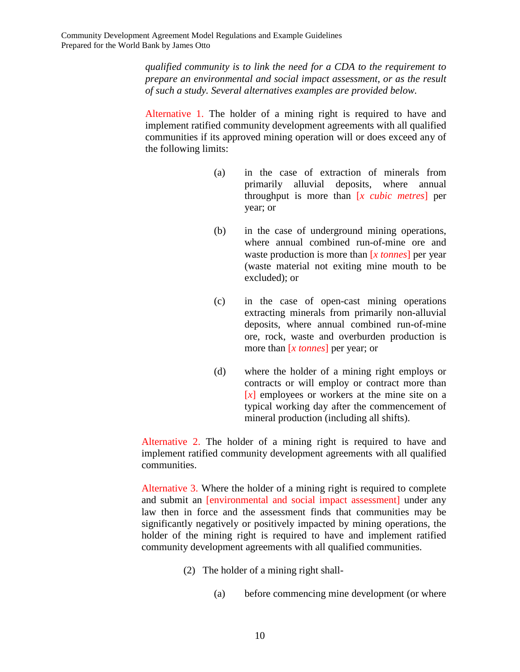*qualified community is to link the need for a CDA to the requirement to prepare an environmental and social impact assessment, or as the result of such a study. Several alternatives examples are provided below.* 

Alternative 1. The holder of a mining right is required to have and implement ratified community development agreements with all qualified communities if its approved mining operation will or does exceed any of the following limits:

- (a) in the case of extraction of minerals from primarily alluvial deposits, where annual throughput is more than [*x cubic metres*] per year; or
- (b) in the case of underground mining operations, where annual combined run-of-mine ore and waste production is more than [*x tonnes*] per year (waste material not exiting mine mouth to be excluded); or
- (c) in the case of open-cast mining operations extracting minerals from primarily non-alluvial deposits, where annual combined run-of-mine ore, rock, waste and overburden production is more than [*x tonnes*] per year; or
- (d) where the holder of a mining right employs or contracts or will employ or contract more than [*x*] employees or workers at the mine site on a typical working day after the commencement of mineral production (including all shifts).

Alternative 2. The holder of a mining right is required to have and implement ratified community development agreements with all qualified communities.

Alternative 3. Where the holder of a mining right is required to complete and submit an [environmental and social impact assessment] under any law then in force and the assessment finds that communities may be significantly negatively or positively impacted by mining operations, the holder of the mining right is required to have and implement ratified community development agreements with all qualified communities.

- (2) The holder of a mining right shall-
	- (a) before commencing mine development (or where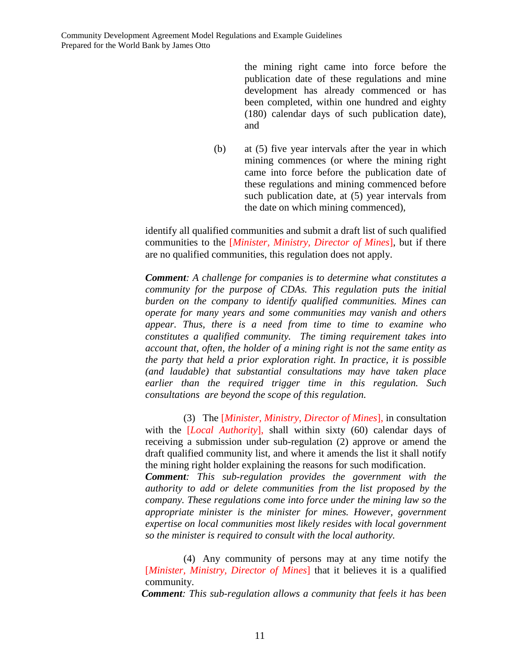the mining right came into force before the publication date of these regulations and mine development has already commenced or has been completed, within one hundred and eighty (180) calendar days of such publication date), and

(b) at (5) five year intervals after the year in which mining commences (or where the mining right came into force before the publication date of these regulations and mining commenced before such publication date, at (5) year intervals from the date on which mining commenced),

identify all qualified communities and submit a draft list of such qualified communities to the [*Minister, Ministry, Director of Mines*], but if there are no qualified communities, this regulation does not apply.

*Comment: A challenge for companies is to determine what constitutes a community for the purpose of CDAs. This regulation puts the initial burden on the company to identify qualified communities. Mines can operate for many years and some communities may vanish and others appear. Thus, there is a need from time to time to examine who constitutes a qualified community. The timing requirement takes into account that, often, the holder of a mining right is not the same entity as the party that held a prior exploration right. In practice, it is possible (and laudable) that substantial consultations may have taken place earlier than the required trigger time in this regulation. Such consultations are beyond the scope of this regulation.* 

(3) The [*Minister, Ministry, Director of Mines*], in consultation with the [*Local Authority*], shall within sixty (60) calendar days of receiving a submission under sub-regulation (2) approve or amend the draft qualified community list, and where it amends the list it shall notify the mining right holder explaining the reasons for such modification. *Comment: This sub-regulation provides the government with the authority to add or delete communities from the list proposed by the company. These regulations come into force under the mining law so the* 

*appropriate minister is the minister for mines. However, government expertise on local communities most likely resides with local government so the minister is required to consult with the local authority.* 

(4) Any community of persons may at any time notify the [*Minister, Ministry, Director of Mines*] that it believes it is a qualified community.

*Comment: This sub-regulation allows a community that feels it has been*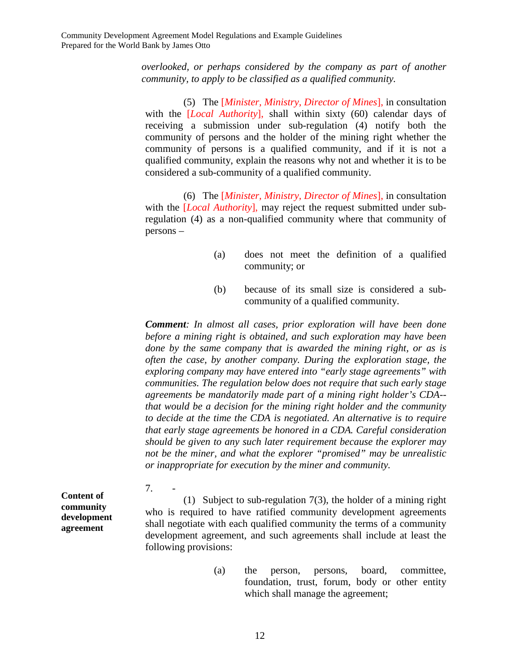*overlooked, or perhaps considered by the company as part of another community, to apply to be classified as a qualified community.* 

(5) The [*Minister, Ministry, Director of Mines*], in consultation with the [*Local Authority*], shall within sixty (60) calendar days of receiving a submission under sub-regulation (4) notify both the community of persons and the holder of the mining right whether the community of persons is a qualified community, and if it is not a qualified community, explain the reasons why not and whether it is to be considered a sub-community of a qualified community.

(6) The [*Minister, Ministry, Director of Mines*], in consultation with the [*Local Authority*], may reject the request submitted under subregulation (4) as a non-qualified community where that community of persons –

- (a) does not meet the definition of a qualified community; or
- (b) because of its small size is considered a subcommunity of a qualified community.

*Comment: In almost all cases, prior exploration will have been done before a mining right is obtained, and such exploration may have been done by the same company that is awarded the mining right, or as is often the case, by another company. During the exploration stage, the exploring company may have entered into "early stage agreements" with communities. The regulation below does not require that such early stage agreements be mandatorily made part of a mining right holder's CDA- that would be a decision for the mining right holder and the community to decide at the time the CDA is negotiated. An alternative is to require that early stage agreements be honored in a CDA. Careful consideration should be given to any such later requirement because the explorer may not be the miner, and what the explorer "promised" may be unrealistic or inappropriate for execution by the miner and community.* 

**Content of community development**  7. -

**agreement** 

(1) Subject to sub-regulation 7(3), the holder of a mining right who is required to have ratified community development agreements shall negotiate with each qualified community the terms of a community development agreement, and such agreements shall include at least the following provisions:

> (a) the person, persons, board, committee, foundation, trust, forum, body or other entity which shall manage the agreement;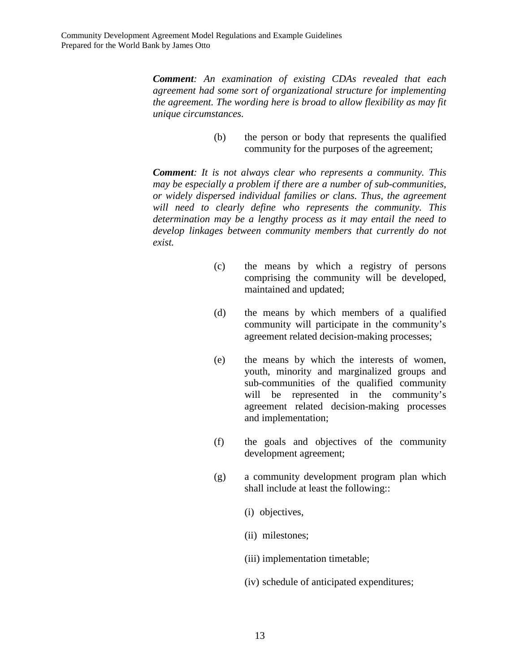*Comment: An examination of existing CDAs revealed that each agreement had some sort of organizational structure for implementing the agreement. The wording here is broad to allow flexibility as may fit unique circumstances.* 

> (b) the person or body that represents the qualified community for the purposes of the agreement;

*Comment: It is not always clear who represents a community. This may be especially a problem if there are a number of sub-communities, or widely dispersed individual families or clans. Thus, the agreement will need to clearly define who represents the community. This determination may be a lengthy process as it may entail the need to develop linkages between community members that currently do not exist.* 

- (c) the means by which a registry of persons comprising the community will be developed, maintained and updated;
- (d) the means by which members of a qualified community will participate in the community's agreement related decision-making processes;
- (e) the means by which the interests of women, youth, minority and marginalized groups and sub-communities of the qualified community will be represented in the community's agreement related decision-making processes and implementation;
- (f) the goals and objectives of the community development agreement;
- (g) a community development program plan which shall include at least the following::
	- (i) objectives,
	- (ii) milestones;
	- (iii) implementation timetable;
	- (iv) schedule of anticipated expenditures;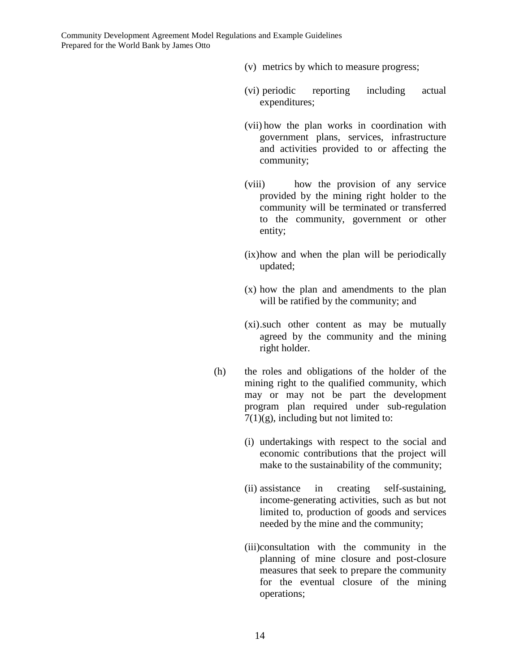- (v) metrics by which to measure progress;
- (vi) periodic reporting including actual expenditures;
- (vii) how the plan works in coordination with government plans, services, infrastructure and activities provided to or affecting the community;
- (viii) how the provision of any service provided by the mining right holder to the community will be terminated or transferred to the community, government or other entity;
- (ix) how and when the plan will be periodically updated;
- (x) how the plan and amendments to the plan will be ratified by the community; and
- (xi) .such other content as may be mutually agreed by the community and the mining right holder.
- (h) the roles and obligations of the holder of the mining right to the qualified community, which may or may not be part the development program plan required under sub-regulation  $7(1)(g)$ , including but not limited to:
	- (i) undertakings with respect to the social and economic contributions that the project will make to the sustainability of the community;
	- (ii) assistance in creating self-sustaining, income-generating activities, such as but not limited to, production of goods and services needed by the mine and the community;
	- (iii)consultation with the community in the planning of mine closure and post-closure measures that seek to prepare the community for the eventual closure of the mining operations;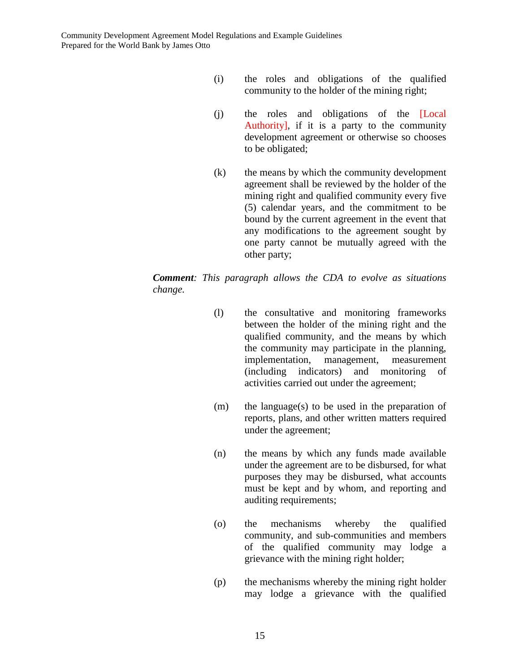- (i) the roles and obligations of the qualified community to the holder of the mining right;
- (j) the roles and obligations of the [Local Authority], if it is a party to the community development agreement or otherwise so chooses to be obligated;
- (k) the means by which the community development agreement shall be reviewed by the holder of the mining right and qualified community every five (5) calendar years, and the commitment to be bound by the current agreement in the event that any modifications to the agreement sought by one party cannot be mutually agreed with the other party;

## *Comment: This paragraph allows the CDA to evolve as situations change.*

- (l) the consultative and monitoring frameworks between the holder of the mining right and the qualified community, and the means by which the community may participate in the planning, implementation, management, measurement (including indicators) and monitoring of activities carried out under the agreement;
- (m) the language(s) to be used in the preparation of reports, plans, and other written matters required under the agreement;
- (n) the means by which any funds made available under the agreement are to be disbursed, for what purposes they may be disbursed, what accounts must be kept and by whom, and reporting and auditing requirements;
- (o) the mechanisms whereby the qualified community, and sub-communities and members of the qualified community may lodge a grievance with the mining right holder;
- (p) the mechanisms whereby the mining right holder may lodge a grievance with the qualified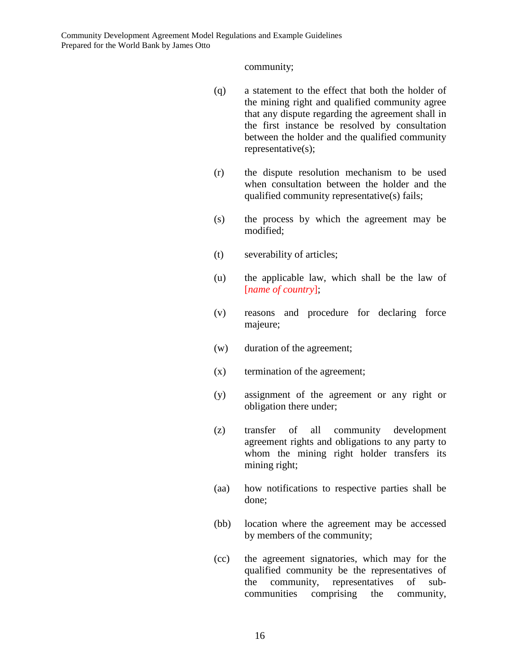community;

- (q) a statement to the effect that both the holder of the mining right and qualified community agree that any dispute regarding the agreement shall in the first instance be resolved by consultation between the holder and the qualified community representative(s);
- (r) the dispute resolution mechanism to be used when consultation between the holder and the qualified community representative(s) fails;
- (s) the process by which the agreement may be modified;
- (t) severability of articles;
- (u) the applicable law, which shall be the law of [*name of country*];
- (v) reasons and procedure for declaring force majeure;
- (w) duration of the agreement;
- (x) termination of the agreement;
- (y) assignment of the agreement or any right or obligation there under;
- (z) transfer of all community development agreement rights and obligations to any party to whom the mining right holder transfers its mining right;
- (aa) how notifications to respective parties shall be done;
- (bb) location where the agreement may be accessed by members of the community;
- (cc) the agreement signatories, which may for the qualified community be the representatives of the community, representatives of subcommunities comprising the community,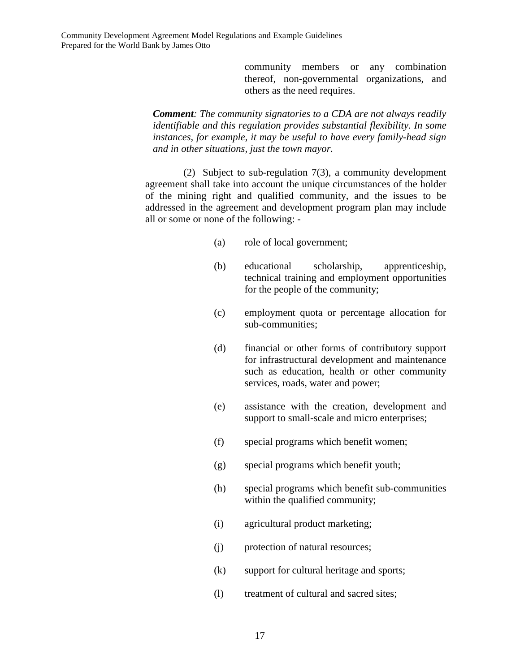community members or any combination thereof, non-governmental organizations, and others as the need requires.

*Comment: The community signatories to a CDA are not always readily identifiable and this regulation provides substantial flexibility. In some instances, for example, it may be useful to have every family-head sign and in other situations, just the town mayor.* 

(2) Subject to sub-regulation 7(3), a community development agreement shall take into account the unique circumstances of the holder of the mining right and qualified community, and the issues to be addressed in the agreement and development program plan may include all or some or none of the following: -

- (a) role of local government;
- (b) educational scholarship, apprenticeship, technical training and employment opportunities for the people of the community;
- (c) employment quota or percentage allocation for sub-communities;
- (d) financial or other forms of contributory support for infrastructural development and maintenance such as education, health or other community services, roads, water and power;
- (e) assistance with the creation, development and support to small-scale and micro enterprises;
- (f) special programs which benefit women;
- (g) special programs which benefit youth;
- (h) special programs which benefit sub-communities within the qualified community;
- (i) agricultural product marketing;
- (j) protection of natural resources;
- (k) support for cultural heritage and sports;
- (l) treatment of cultural and sacred sites;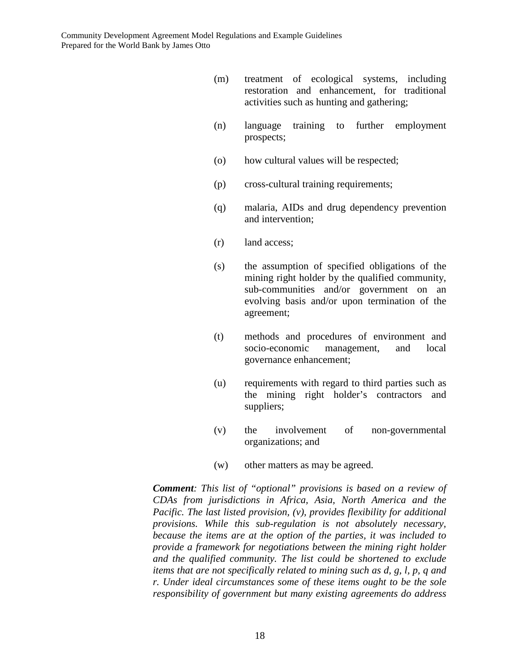- (m) treatment of ecological systems, including restoration and enhancement, for traditional activities such as hunting and gathering;
- (n) language training to further employment prospects;
- (o) how cultural values will be respected;
- (p) cross-cultural training requirements;
- (q) malaria, AIDs and drug dependency prevention and intervention;
- (r) land access;
- (s) the assumption of specified obligations of the mining right holder by the qualified community, sub-communities and/or government on an evolving basis and/or upon termination of the agreement;
- (t) methods and procedures of environment and socio-economic management, and local governance enhancement;
- (u) requirements with regard to third parties such as the mining right holder's contractors and suppliers;
- (v) the involvement of non-governmental organizations; and
- (w) other matters as may be agreed.

*Comment: This list of "optional" provisions is based on a review of CDAs from jurisdictions in Africa, Asia, North America and the Pacific. The last listed provision, (v), provides flexibility for additional provisions. While this sub-regulation is not absolutely necessary, because the items are at the option of the parties, it was included to provide a framework for negotiations between the mining right holder and the qualified community. The list could be shortened to exclude items that are not specifically related to mining such as d, g, l, p, q and r. Under ideal circumstances some of these items ought to be the sole responsibility of government but many existing agreements do address*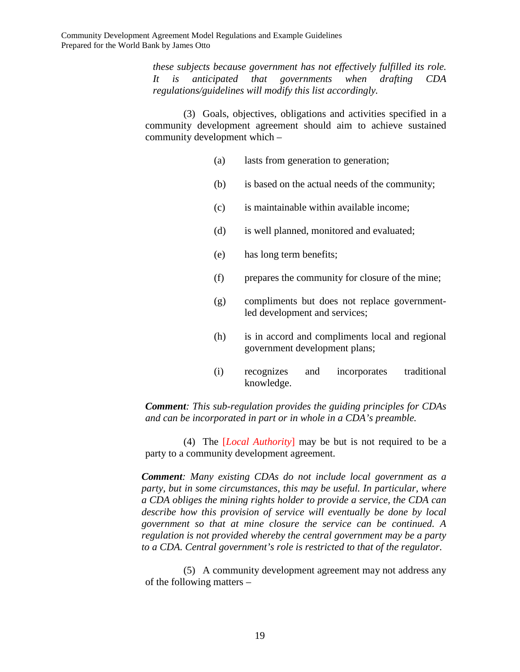*these subjects because government has not effectively fulfilled its role. It is anticipated that governments when drafting CDA regulations/guidelines will modify this list accordingly.* 

(3) Goals, objectives, obligations and activities specified in a community development agreement should aim to achieve sustained community development which –

- (a) lasts from generation to generation;
- (b) is based on the actual needs of the community;
- (c) is maintainable within available income;
- (d) is well planned, monitored and evaluated;
- (e) has long term benefits;
- (f) prepares the community for closure of the mine;
- (g) compliments but does not replace governmentled development and services;
- (h) is in accord and compliments local and regional government development plans;
- (i) recognizes and incorporates traditional knowledge.

*Comment: This sub-regulation provides the guiding principles for CDAs and can be incorporated in part or in whole in a CDA's preamble.* 

(4) The [*Local Authority*] may be but is not required to be a party to a community development agreement.

*Comment: Many existing CDAs do not include local government as a party, but in some circumstances, this may be useful. In particular, where a CDA obliges the mining rights holder to provide a service, the CDA can describe how this provision of service will eventually be done by local government so that at mine closure the service can be continued. A regulation is not provided whereby the central government may be a party to a CDA. Central government's role is restricted to that of the regulator.* 

(5) A community development agreement may not address any of the following matters –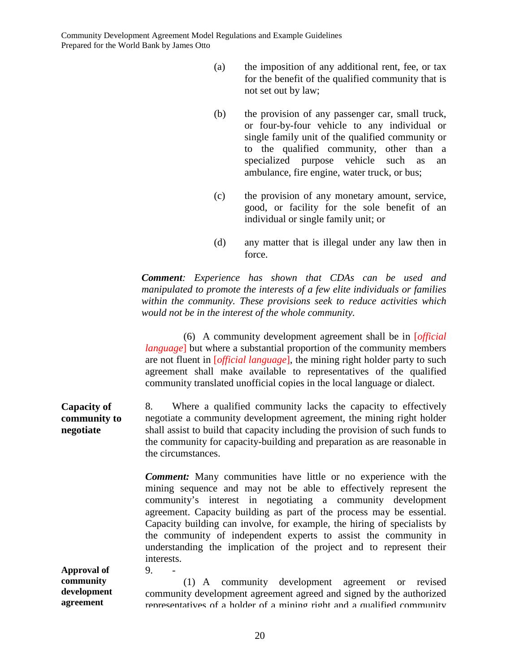- (a) the imposition of any additional rent, fee, or tax for the benefit of the qualified community that is not set out by law;
- (b) the provision of any passenger car, small truck, or four-by-four vehicle to any individual or single family unit of the qualified community or to the qualified community, other than a specialized purpose vehicle such as an ambulance, fire engine, water truck, or bus;
- (c) the provision of any monetary amount, service, good, or facility for the sole benefit of an individual or single family unit; or
- (d) any matter that is illegal under any law then in force.

*Comment: Experience has shown that CDAs can be used and manipulated to promote the interests of a few elite individuals or families within the community. These provisions seek to reduce activities which would not be in the interest of the whole community.* 

(6) A community development agreement shall be in [*official language*] but where a substantial proportion of the community members are not fluent in [*official language*], the mining right holder party to such agreement shall make available to representatives of the qualified community translated unofficial copies in the local language or dialect.

**Capacity of community to negotiate** 8. Where a qualified community lacks the capacity to effectively negotiate a community development agreement, the mining right holder shall assist to build that capacity including the provision of such funds to the community for capacity-building and preparation as are reasonable in the circumstances.

> *Comment:* Many communities have little or no experience with the mining sequence and may not be able to effectively represent the community's interest in negotiating a community development agreement. Capacity building as part of the process may be essential. Capacity building can involve, for example, the hiring of specialists by the community of independent experts to assist the community in understanding the implication of the project and to represent their interests.

**Approval of community development agreement**   $9.$ (1) A community development agreement or revised community development agreement agreed and signed by the authorized representatives of a holder of a mining right and a qualified community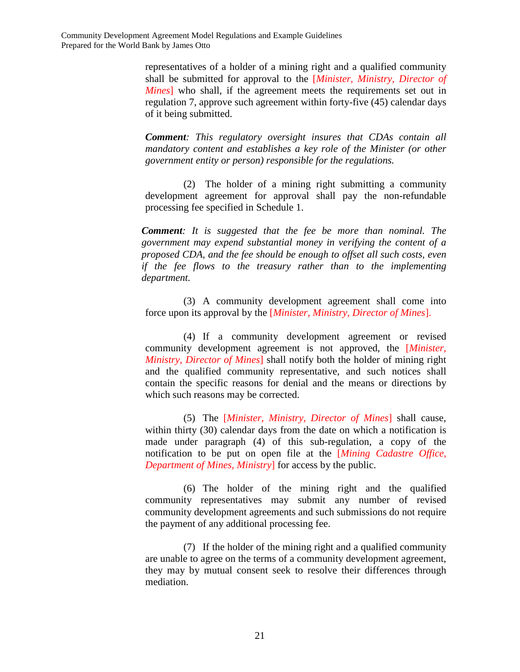> representatives of a holder of a mining right and a qualified community shall be submitted for approval to the [*Minister, Ministry, Director of Mines*] who shall, if the agreement meets the requirements set out in regulation 7, approve such agreement within forty-five (45) calendar days of it being submitted.

> *Comment: This regulatory oversight insures that CDAs contain all mandatory content and establishes a key role of the Minister (or other government entity or person) responsible for the regulations.*

> (2) The holder of a mining right submitting a community development agreement for approval shall pay the non-refundable processing fee specified in Schedule 1.

*Comment: It is suggested that the fee be more than nominal. The government may expend substantial money in verifying the content of a proposed CDA, and the fee should be enough to offset all such costs, even if the fee flows to the treasury rather than to the implementing department.* 

(3) A community development agreement shall come into force upon its approval by the [*Minister, Ministry, Director of Mines*].

(4) If a community development agreement or revised community development agreement is not approved, the [*Minister, Ministry, Director of Mines*] shall notify both the holder of mining right and the qualified community representative, and such notices shall contain the specific reasons for denial and the means or directions by which such reasons may be corrected.

(5) The [*Minister, Ministry, Director of Mines*] shall cause, within thirty (30) calendar days from the date on which a notification is made under paragraph (4) of this sub-regulation, a copy of the notification to be put on open file at the [*Mining Cadastre Office, Department of Mines, Ministry*] for access by the public.

(6) The holder of the mining right and the qualified community representatives may submit any number of revised community development agreements and such submissions do not require the payment of any additional processing fee.

(7) If the holder of the mining right and a qualified community are unable to agree on the terms of a community development agreement, they may by mutual consent seek to resolve their differences through mediation.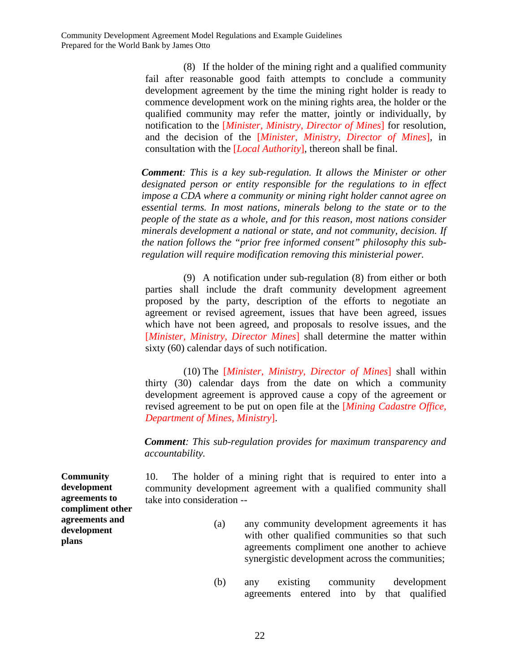(8) If the holder of the mining right and a qualified community fail after reasonable good faith attempts to conclude a community development agreement by the time the mining right holder is ready to commence development work on the mining rights area, the holder or the qualified community may refer the matter, jointly or individually, by notification to the [*Minister, Ministry, Director of Mines*] for resolution, and the decision of the [*Minister, Ministry, Director of Mines*], in consultation with the [*Local Authority*], thereon shall be final.

*Comment: This is a key sub-regulation. It allows the Minister or other designated person or entity responsible for the regulations to in effect impose a CDA where a community or mining right holder cannot agree on essential terms. In most nations, minerals belong to the state or to the people of the state as a whole, and for this reason, most nations consider minerals development a national or state, and not community, decision. If the nation follows the "prior free informed consent" philosophy this subregulation will require modification removing this ministerial power.* 

(9) A notification under sub-regulation (8) from either or both parties shall include the draft community development agreement proposed by the party, description of the efforts to negotiate an agreement or revised agreement, issues that have been agreed, issues which have not been agreed, and proposals to resolve issues, and the [*Minister, Ministry, Director Mines*] shall determine the matter within sixty (60) calendar days of such notification.

(10) The [*Minister, Ministry, Director of Mines*] shall within thirty (30) calendar days from the date on which a community development agreement is approved cause a copy of the agreement or revised agreement to be put on open file at the [*Mining Cadastre Office, Department of Mines, Ministry*].

*Comment: This sub-regulation provides for maximum transparency and accountability.* 

10. The holder of a mining right that is required to enter into a community development agreement with a qualified community shall take into consideration --

- (a) any community development agreements it has with other qualified communities so that such agreements compliment one another to achieve synergistic development across the communities;
- (b) any existing community development agreements entered into by that qualified

**Community development agreements to compliment other agreements and development plans**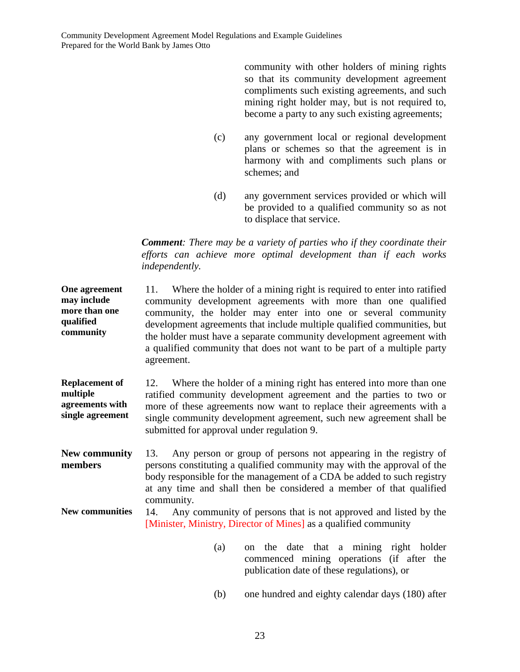community with other holders of mining rights so that its community development agreement compliments such existing agreements, and such mining right holder may, but is not required to, become a party to any such existing agreements;

- (c) any government local or regional development plans or schemes so that the agreement is in harmony with and compliments such plans or schemes; and
- (d) any government services provided or which will be provided to a qualified community so as not to displace that service.

*Comment: There may be a variety of parties who if they coordinate their efforts can achieve more optimal development than if each works independently.* 

| One agreement<br>may include<br>more than one<br>qualified<br>community  | Where the holder of a mining right is required to enter into ratified<br>11.<br>community development agreements with more than one qualified<br>community, the holder may enter into one or several community<br>development agreements that include multiple qualified communities, but<br>the holder must have a separate community development agreement with<br>a qualified community that does not want to be part of a multiple party<br>agreement. |  |  |  |  |  |  |
|--------------------------------------------------------------------------|------------------------------------------------------------------------------------------------------------------------------------------------------------------------------------------------------------------------------------------------------------------------------------------------------------------------------------------------------------------------------------------------------------------------------------------------------------|--|--|--|--|--|--|
| <b>Replacement of</b><br>multiple<br>agreements with<br>single agreement | Where the holder of a mining right has entered into more than one<br>12.<br>ratified community development agreement and the parties to two or<br>more of these agreements now want to replace their agreements with a<br>single community development agreement, such new agreement shall be<br>submitted for approval under regulation 9.                                                                                                                |  |  |  |  |  |  |
| <b>New community</b><br>members                                          | Any person or group of persons not appearing in the registry of<br>13.<br>persons constituting a qualified community may with the approval of the<br>body responsible for the management of a CDA be added to such registry<br>at any time and shall then be considered a member of that qualified<br>community.                                                                                                                                           |  |  |  |  |  |  |
| <b>New communities</b>                                                   | Any community of persons that is not approved and listed by the<br>14.<br>[Minister, Ministry, Director of Mines] as a qualified community                                                                                                                                                                                                                                                                                                                 |  |  |  |  |  |  |

- (a) on the date that a mining right holder commenced mining operations (if after the publication date of these regulations), or
- (b) one hundred and eighty calendar days (180) after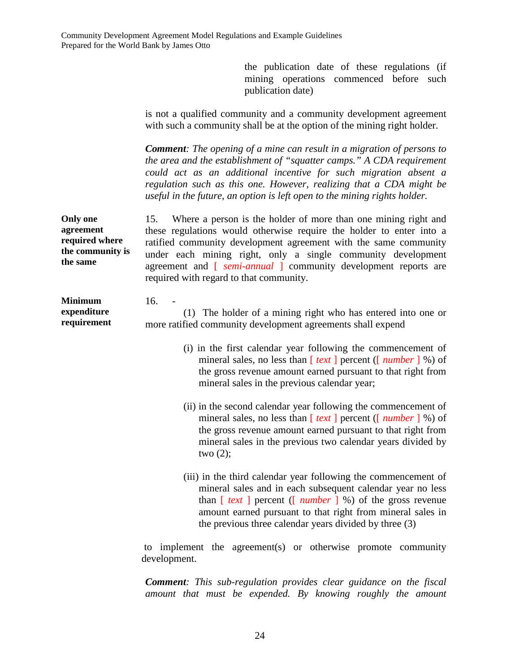the publication date of these regulations (if mining operations commenced before such publication date)

is not a qualified community and a community development agreement with such a community shall be at the option of the mining right holder.

*Comment: The opening of a mine can result in a migration of persons to the area and the establishment of "squatter camps." A CDA requirement could act as an additional incentive for such migration absent a regulation such as this one. However, realizing that a CDA might be useful in the future, an option is left open to the mining rights holder.* 

**Only one agreement required where the community is the same**  15. Where a person is the holder of more than one mining right and these regulations would otherwise require the holder to enter into a ratified community development agreement with the same community under each mining right, only a single community development agreement and [ *semi-annual* ] community development reports are required with regard to that community.

**Minimum expenditure requirement**  16. -

(1) The holder of a mining right who has entered into one or more ratified community development agreements shall expend

- (i) in the first calendar year following the commencement of mineral sales, no less than [ *text* ] percent ([ *number* ] %) of the gross revenue amount earned pursuant to that right from mineral sales in the previous calendar year;
- (ii) in the second calendar year following the commencement of mineral sales, no less than [ *text* ] percent ([ *number* ] %) of the gross revenue amount earned pursuant to that right from mineral sales in the previous two calendar years divided by two  $(2)$ ;
- (iii) in the third calendar year following the commencement of mineral sales and in each subsequent calendar year no less than [ *text* ] percent ([ *number* ] %) of the gross revenue amount earned pursuant to that right from mineral sales in the previous three calendar years divided by three (3)

to implement the agreement(s) or otherwise promote community development.

*Comment: This sub-regulation provides clear guidance on the fiscal amount that must be expended. By knowing roughly the amount*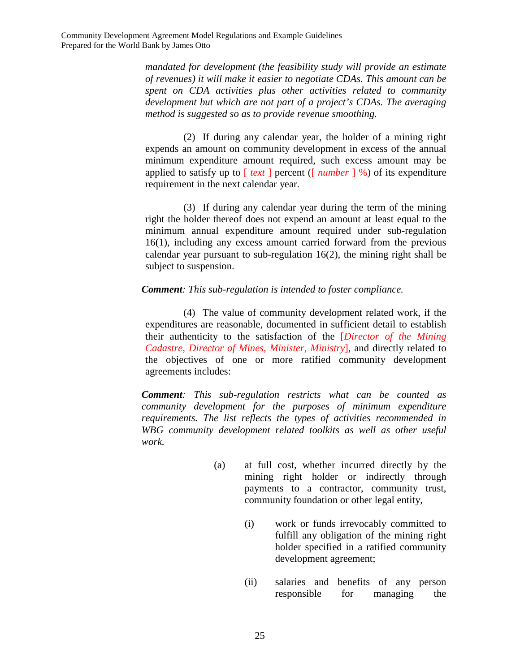*mandated for development (the feasibility study will provide an estimate of revenues) it will make it easier to negotiate CDAs. This amount can be spent on CDA activities plus other activities related to community development but which are not part of a project's CDAs. The averaging method is suggested so as to provide revenue smoothing.* 

(2) If during any calendar year, the holder of a mining right expends an amount on community development in excess of the annual minimum expenditure amount required, such excess amount may be applied to satisfy up to [ *text* ] percent ([ *number* ] %) of its expenditure requirement in the next calendar year.

(3) If during any calendar year during the term of the mining right the holder thereof does not expend an amount at least equal to the minimum annual expenditure amount required under sub-regulation 16(1), including any excess amount carried forward from the previous calendar year pursuant to sub-regulation 16(2), the mining right shall be subject to suspension.

### *Comment: This sub-regulation is intended to foster compliance.*

(4) The value of community development related work, if the expenditures are reasonable, documented in sufficient detail to establish their authenticity to the satisfaction of the [*Director of the Mining Cadastre, Director of Mines, Minister, Ministry*], and directly related to the objectives of one or more ratified community development agreements includes:

*Comment: This sub-regulation restricts what can be counted as community development for the purposes of minimum expenditure requirements. The list reflects the types of activities recommended in WBG community development related toolkits as well as other useful work.* 

- (a) at full cost, whether incurred directly by the mining right holder or indirectly through payments to a contractor, community trust, community foundation or other legal entity,
	- (i) work or funds irrevocably committed to fulfill any obligation of the mining right holder specified in a ratified community development agreement;
	- (ii) salaries and benefits of any person responsible for managing the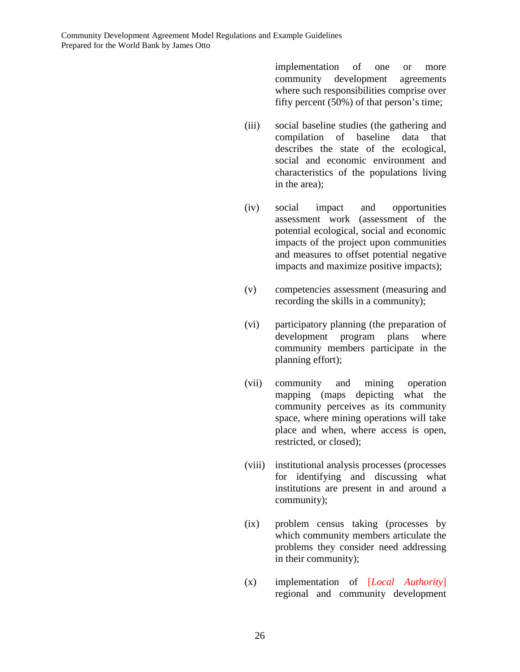implementation of one or more community development agreements where such responsibilities comprise over fifty percent (50%) of that person's time;

- (iii) social baseline studies (the gathering and compilation of baseline data that describes the state of the ecological, social and economic environment and characteristics of the populations living in the area);
- (iv) social impact and opportunities assessment work (assessment of the potential ecological, social and economic impacts of the project upon communities and measures to offset potential negative impacts and maximize positive impacts);
- (v) competencies assessment (measuring and recording the skills in a community);
- (vi) participatory planning (the preparation of development program plans where community members participate in the planning effort);
- (vii) community and mining operation mapping (maps depicting what the community perceives as its community space, where mining operations will take place and when, where access is open, restricted, or closed);
- (viii) institutional analysis processes (processes for identifying and discussing what institutions are present in and around a community);
- (ix) problem census taking (processes by which community members articulate the problems they consider need addressing in their community);
- (x) implementation of [*Local Authority*] regional and community development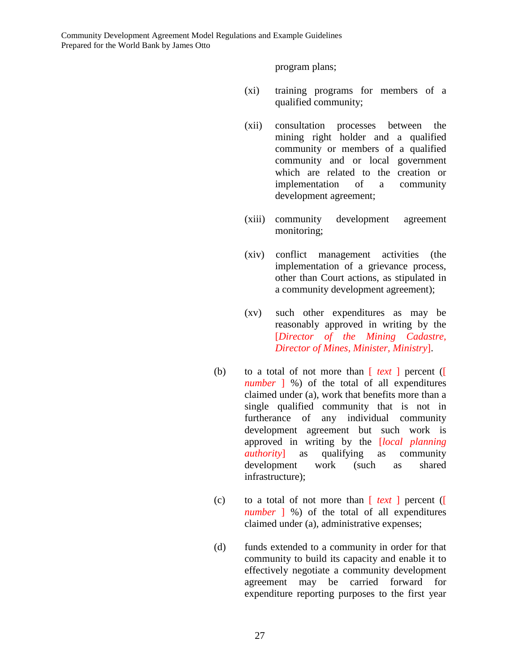program plans;

- (xi) training programs for members of a qualified community;
- (xii) consultation processes between the mining right holder and a qualified community or members of a qualified community and or local government which are related to the creation or implementation of a community development agreement;
- (xiii) community development agreement monitoring;
- (xiv) conflict management activities (the implementation of a grievance process, other than Court actions, as stipulated in a community development agreement);
- (xv) such other expenditures as may be reasonably approved in writing by the [*Director of the Mining Cadastre, Director of Mines, Minister, Ministry*].
- (b) to a total of not more than [ *text* ] percent ([ *number* ] %) of the total of all expenditures claimed under (a), work that benefits more than a single qualified community that is not in furtherance of any individual community development agreement but such work is approved in writing by the [*local planning authority*] as qualifying as community development work (such as shared infrastructure);
- (c) to a total of not more than [ *text* ] percent ([ *number* ] %) of the total of all expenditures claimed under (a), administrative expenses;
- (d) funds extended to a community in order for that community to build its capacity and enable it to effectively negotiate a community development agreement may be carried forward for expenditure reporting purposes to the first year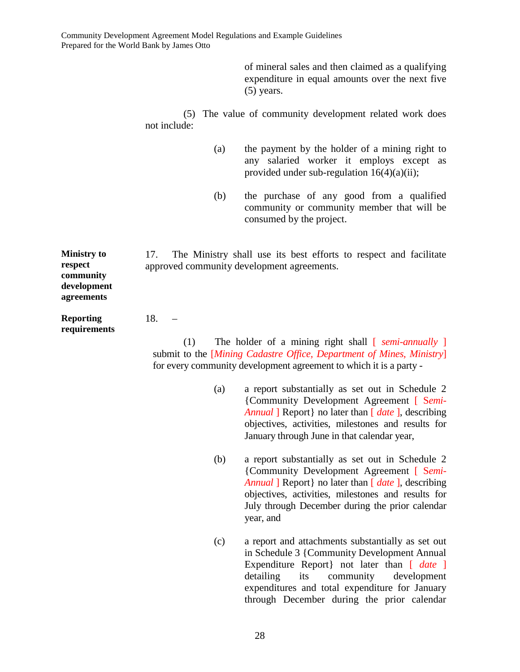of mineral sales and then claimed as a qualifying expenditure in equal amounts over the next five (5) years.

(5) The value of community development related work does not include:

- (a) the payment by the holder of a mining right to any salaried worker it employs except as provided under sub-regulation 16(4)(a)(ii);
- (b) the purchase of any good from a qualified community or community member that will be consumed by the project.

17. The Ministry shall use its best efforts to respect and facilitate approved community development agreements.

**respect community development agreements** 

**Ministry to** 

**Reporting requirements**  18. –

(1) The holder of a mining right shall [ *semi-annually* ] submit to the [*Mining Cadastre Office, Department of Mines, Ministry*] for every community development agreement to which it is a party -

- (a) a report substantially as set out in Schedule 2 {Community Development Agreement [ S*emi-Annual* ] Report } no later than [ *date* ], describing objectives, activities, milestones and results for January through June in that calendar year,
- (b) a report substantially as set out in Schedule 2 {Community Development Agreement [ S*emi-Annual* ] Report } no later than  $\int$  *date* ], describing objectives, activities, milestones and results for July through December during the prior calendar year, and
- (c) a report and attachments substantially as set out in Schedule 3 {Community Development Annual Expenditure Report not later than [ *date* ] detailing its community development expenditures and total expenditure for January through December during the prior calendar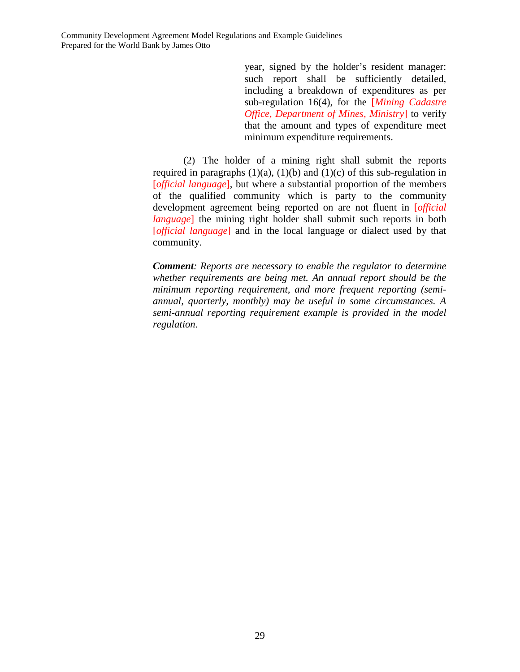year, signed by the holder's resident manager: such report shall be sufficiently detailed, including a breakdown of expenditures as per sub-regulation 16(4), for the [*Mining Cadastre Office, Department of Mines, Ministry*] to verify that the amount and types of expenditure meet minimum expenditure requirements.

(2) The holder of a mining right shall submit the reports required in paragraphs  $(1)(a)$ ,  $(1)(b)$  and  $(1)(c)$  of this sub-regulation in [*official language*], but where a substantial proportion of the members of the qualified community which is party to the community development agreement being reported on are not fluent in [*official language*] the mining right holder shall submit such reports in both [*official language*] and in the local language or dialect used by that community.

*Comment: Reports are necessary to enable the regulator to determine whether requirements are being met. An annual report should be the minimum reporting requirement, and more frequent reporting (semiannual, quarterly, monthly) may be useful in some circumstances. A semi-annual reporting requirement example is provided in the model regulation.*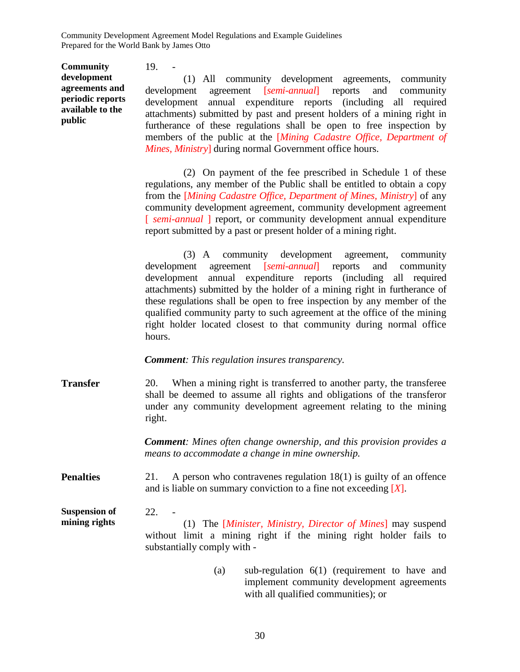**Community development agreements and periodic reports available to the public**

19. -

(1) All community development agreements, community development agreement [*semi-annual*] reports and community development annual expenditure reports (including all required attachments) submitted by past and present holders of a mining right in furtherance of these regulations shall be open to free inspection by members of the public at the [*Mining Cadastre Office, Department of Mines, Ministry*] during normal Government office hours.

(2) On payment of the fee prescribed in Schedule 1 of these regulations, any member of the Public shall be entitled to obtain a copy from the [*Mining Cadastre Office, Department of Mines, Ministry*] of any community development agreement, community development agreement [ *semi-annual* ] report, or community development annual expenditure report submitted by a past or present holder of a mining right.

(3) A community development agreement, community development agreement [*semi-annual*] reports and community development annual expenditure reports (including all required attachments) submitted by the holder of a mining right in furtherance of these regulations shall be open to free inspection by any member of the qualified community party to such agreement at the office of the mining right holder located closest to that community during normal office hours.

*Comment: This regulation insures transparency.*

**Transfer** 20. When a mining right is transferred to another party, the transferee shall be deemed to assume all rights and obligations of the transferor under any community development agreement relating to the mining right.

> *Comment: Mines often change ownership, and this provision provides a means to accommodate a change in mine ownership.*

**Penalties** 21. A person who contravenes regulation 18(1) is guilty of an offence and is liable on summary conviction to a fine not exceeding [*X*].

**Suspension of mining rights**   $22.$ (1) The [*Minister, Ministry, Director of Mines*] may suspend without limit a mining right if the mining right holder fails to substantially comply with -

> (a) sub-regulation 6(1) (requirement to have and implement community development agreements with all qualified communities); or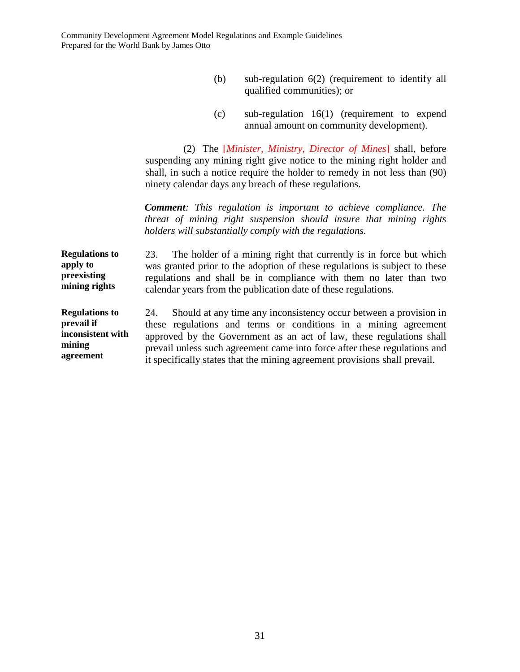- (b) sub-regulation 6(2) (requirement to identify all qualified communities); or
- (c) sub-regulation 16(1) (requirement to expend annual amount on community development).

(2) The [*Minister, Ministry, Director of Mines*] shall, before suspending any mining right give notice to the mining right holder and shall, in such a notice require the holder to remedy in not less than (90) ninety calendar days any breach of these regulations.

*Comment: This regulation is important to achieve compliance. The threat of mining right suspension should insure that mining rights holders will substantially comply with the regulations.*

**Regulations to apply to preexisting mining rights**  23. The holder of a mining right that currently is in force but which was granted prior to the adoption of these regulations is subject to these regulations and shall be in compliance with them no later than two calendar years from the publication date of these regulations.

**Regulations to prevail if inconsistent with mining agreement**  24. Should at any time any inconsistency occur between a provision in these regulations and terms or conditions in a mining agreement approved by the Government as an act of law, these regulations shall prevail unless such agreement came into force after these regulations and it specifically states that the mining agreement provisions shall prevail.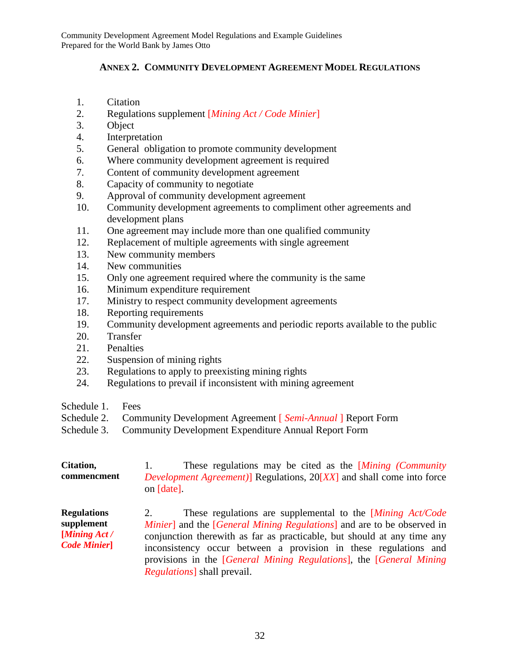## **ANNEX 2. COMMUNITY DEVELOPMENT AGREEMENT MODEL REGULATIONS**

- 1. Citation
- 2. Regulations supplement [*Mining Act / Code Minier*]
- 3. Object
- 4. Interpretation
- 5. General obligation to promote community development
- 6. Where community development agreement is required
- 7. Content of community development agreement
- 8. Capacity of community to negotiate
- 9. Approval of community development agreement
- 10. Community development agreements to compliment other agreements and development plans
- 11. One agreement may include more than one qualified community
- 12. Replacement of multiple agreements with single agreement
- 13. New community members
- 14. New communities
- 15. Only one agreement required where the community is the same
- 16. Minimum expenditure requirement
- 17. Ministry to respect community development agreements
- 18. Reporting requirements
- 19. Community development agreements and periodic reports available to the public
- 20. Transfer
- 21. Penalties
- 22. Suspension of mining rights
- 23. Regulations to apply to preexisting mining rights
- 24. Regulations to prevail if inconsistent with mining agreement
- Schedule 1. Fees
- Schedule 2. Community Development Agreement [ *Semi-Annual* ] Report Form
- Schedule 3. Community Development Expenditure Annual Report Form

| Citation,   |            | These regulations may be cited as the <i>Mining (Community</i> )              |  |  |  |  |
|-------------|------------|-------------------------------------------------------------------------------|--|--|--|--|
| commencment |            | <i>Development Agreement</i> )] Regulations, 20[XX] and shall come into force |  |  |  |  |
|             | on [date]. |                                                                               |  |  |  |  |

**Regulations supplement [***Mining Act / Code Minier***]** 2. These regulations are supplemental to the [*Mining Act/Code Minier*] and the [*General Mining Regulations*] and are to be observed in conjunction therewith as far as practicable, but should at any time any inconsistency occur between a provision in these regulations and provisions in the [*General Mining Regulations*], the [*General Mining Regulations*] shall prevail.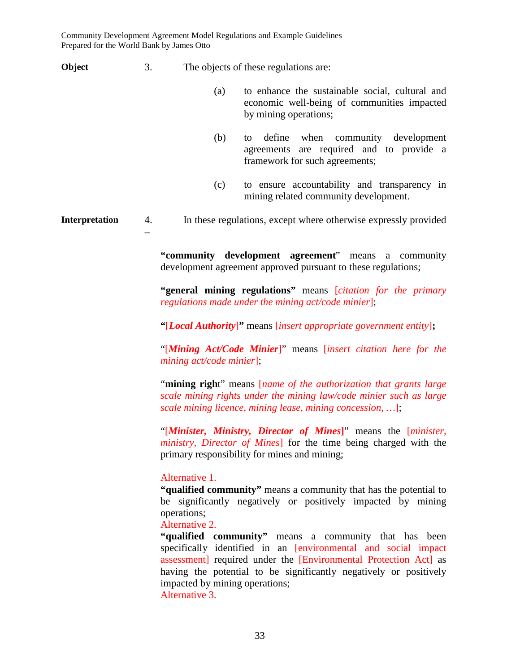**Object** 3. The objects of these regulations are:

- (a) to enhance the sustainable social, cultural and economic well-being of communities impacted by mining operations;
- (b) to define when community development agreements are required and to provide a framework for such agreements;
- (c) to ensure accountability and transparency in mining related community development.

**Interpretation** 4. In these regulations, except where otherwise expressly provided –

> **"community development agreement**" means a community development agreement approved pursuant to these regulations;

> **"general mining regulations"** means [*citation for the primary regulations made under the mining act/code minier*];

**"**[*Local Authority*]**"** means [*insert appropriate government entity*]**;**

"[*Mining Act/Code Minier*]" means [*insert citation here for the mining act/code minier*];

"**mining righ**t" means [*name of the authorization that grants large scale mining rights under the mining law/code minier such as large scale mining licence, mining lease, mining concession, …*];

"[*Minister, Ministry, Director of Mines***]**" means the [*minister, ministry, Director of Mines*] for the time being charged with the primary responsibility for mines and mining;

## Alternative 1.

**"qualified community"** means a community that has the potential to be significantly negatively or positively impacted by mining operations;

Alternative 2.

**"qualified community"** means a community that has been specifically identified in an [environmental and social impact assessment] required under the [Environmental Protection Act] as having the potential to be significantly negatively or positively impacted by mining operations; Alternative 3.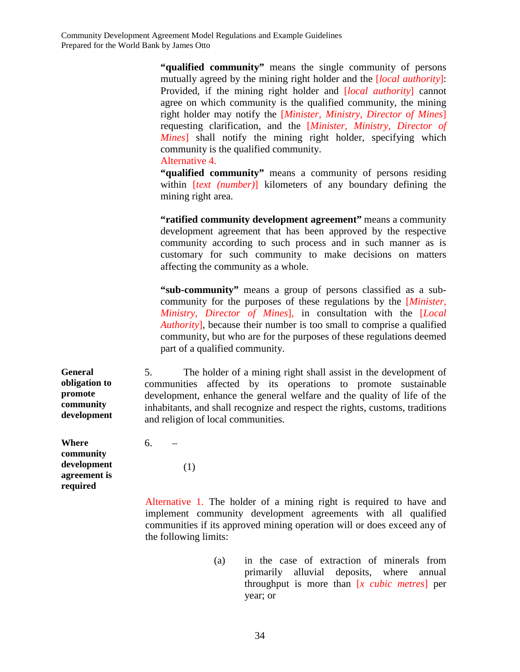**"qualified community"** means the single community of persons mutually agreed by the mining right holder and the [*local authority*]: Provided, if the mining right holder and [*local authority*] cannot agree on which community is the qualified community, the mining right holder may notify the [*Minister, Ministry, Director of Mines*] requesting clarification, and the [*Minister, Ministry, Director of Mines*] shall notify the mining right holder, specifying which community is the qualified community.

Alternative 4.

**"qualified community"** means a community of persons residing within [*text (number)*] kilometers of any boundary defining the mining right area.

**"ratified community development agreement"** means a community development agreement that has been approved by the respective community according to such process and in such manner as is customary for such community to make decisions on matters affecting the community as a whole.

**"sub-community"** means a group of persons classified as a subcommunity for the purposes of these regulations by the [*Minister, Ministry, Director of Mines*], in consultation with the [*Local Authority*], because their number is too small to comprise a qualified community, but who are for the purposes of these regulations deemed part of a qualified community.

5. The holder of a mining right shall assist in the development of communities affected by its operations to promote sustainable development, enhance the general welfare and the quality of life of the inhabitants, and shall recognize and respect the rights, customs, traditions and religion of local communities.

**Where community development agreement is required** 

**General obligation to promote community development** 

(1)

6. –

Alternative 1. The holder of a mining right is required to have and implement community development agreements with all qualified communities if its approved mining operation will or does exceed any of the following limits:

> (a) in the case of extraction of minerals from primarily alluvial deposits, where annual throughput is more than [*x cubic metres*] per year; or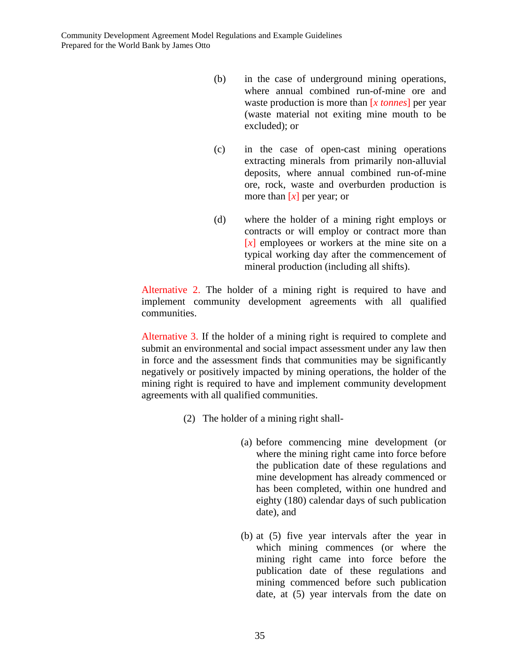- (b) in the case of underground mining operations, where annual combined run-of-mine ore and waste production is more than [*x tonnes*] per year (waste material not exiting mine mouth to be excluded); or
- (c) in the case of open-cast mining operations extracting minerals from primarily non-alluvial deposits, where annual combined run-of-mine ore, rock, waste and overburden production is more than  $\lfloor x \rfloor$  per year; or
- (d) where the holder of a mining right employs or contracts or will employ or contract more than [*x*] employees or workers at the mine site on a typical working day after the commencement of mineral production (including all shifts).

Alternative 2. The holder of a mining right is required to have and implement community development agreements with all qualified communities.

Alternative 3. If the holder of a mining right is required to complete and submit an environmental and social impact assessment under any law then in force and the assessment finds that communities may be significantly negatively or positively impacted by mining operations, the holder of the mining right is required to have and implement community development agreements with all qualified communities.

- (2) The holder of a mining right shall-
	- (a) before commencing mine development (or where the mining right came into force before the publication date of these regulations and mine development has already commenced or has been completed, within one hundred and eighty (180) calendar days of such publication date), and
	- (b) at (5) five year intervals after the year in which mining commences (or where the mining right came into force before the publication date of these regulations and mining commenced before such publication date, at (5) year intervals from the date on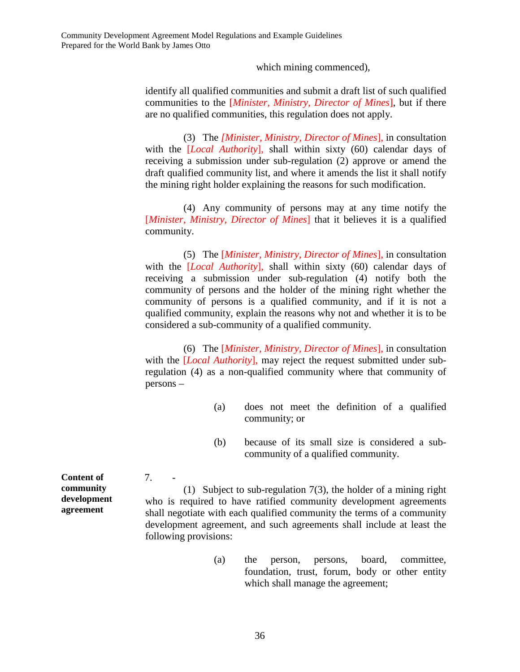which mining commenced),

identify all qualified communities and submit a draft list of such qualified communities to the [*Minister, Ministry, Director of Mines*], but if there are no qualified communities, this regulation does not apply.

(3) The *[Minister, Ministry, Director of Mines*], in consultation with the [*Local Authority*], shall within sixty (60) calendar days of receiving a submission under sub-regulation (2) approve or amend the draft qualified community list, and where it amends the list it shall notify the mining right holder explaining the reasons for such modification.

(4) Any community of persons may at any time notify the [*Minister, Ministry, Director of Mines*] that it believes it is a qualified community.

(5) The [*Minister, Ministry, Director of Mines*], in consultation with the [*Local Authority*], shall within sixty (60) calendar days of receiving a submission under sub-regulation (4) notify both the community of persons and the holder of the mining right whether the community of persons is a qualified community, and if it is not a qualified community, explain the reasons why not and whether it is to be considered a sub-community of a qualified community.

(6) The [*Minister, Ministry, Director of Mines*], in consultation with the [*Local Authority*], may reject the request submitted under subregulation (4) as a non-qualified community where that community of persons –

- (a) does not meet the definition of a qualified community; or
- (b) because of its small size is considered a subcommunity of a qualified community.

**Content of community development agreement** 

7. -

(1) Subject to sub-regulation 7(3), the holder of a mining right who is required to have ratified community development agreements shall negotiate with each qualified community the terms of a community development agreement, and such agreements shall include at least the following provisions:

> (a) the person, persons, board, committee, foundation, trust, forum, body or other entity which shall manage the agreement;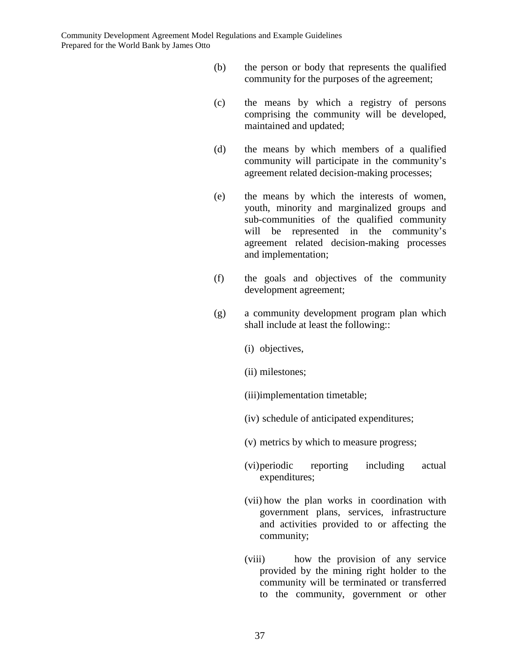- (b) the person or body that represents the qualified community for the purposes of the agreement;
- (c) the means by which a registry of persons comprising the community will be developed, maintained and updated;
- (d) the means by which members of a qualified community will participate in the community's agreement related decision-making processes;
- (e) the means by which the interests of women, youth, minority and marginalized groups and sub-communities of the qualified community will be represented in the community's agreement related decision-making processes and implementation;
- (f) the goals and objectives of the community development agreement;
- (g) a community development program plan which shall include at least the following::
	- (i) objectives,
	- (ii) milestones;
	- (iii)implementation timetable;
	- (iv) schedule of anticipated expenditures;
	- (v) metrics by which to measure progress;
	- (vi) periodic reporting including actual expenditures;
	- (vii) how the plan works in coordination with government plans, services, infrastructure and activities provided to or affecting the community;
	- (viii) how the provision of any service provided by the mining right holder to the community will be terminated or transferred to the community, government or other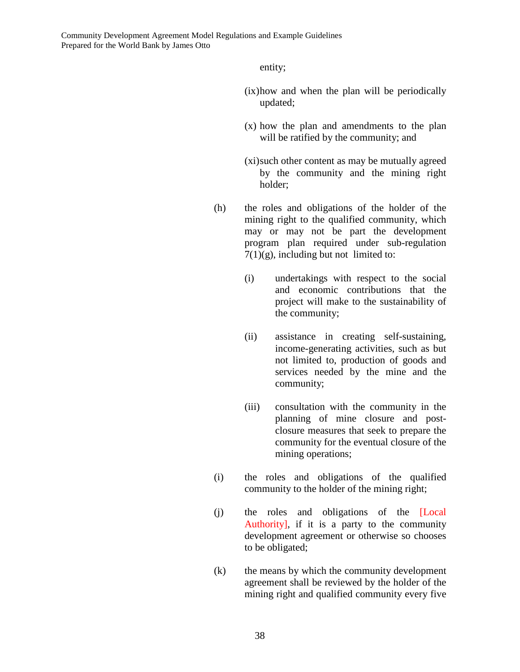entity;

- (ix) how and when the plan will be periodically updated;
- (x) how the plan and amendments to the plan will be ratified by the community; and
- (xi) such other content as may be mutually agreed by the community and the mining right holder;
- (h) the roles and obligations of the holder of the mining right to the qualified community, which may or may not be part the development program plan required under sub-regulation  $7(1)(g)$ , including but not limited to:
	- (i) undertakings with respect to the social and economic contributions that the project will make to the sustainability of the community;
	- (ii) assistance in creating self-sustaining, income-generating activities, such as but not limited to, production of goods and services needed by the mine and the community;
	- (iii) consultation with the community in the planning of mine closure and postclosure measures that seek to prepare the community for the eventual closure of the mining operations;
- (i) the roles and obligations of the qualified community to the holder of the mining right;
- (j) the roles and obligations of the [Local Authority], if it is a party to the community development agreement or otherwise so chooses to be obligated;
- (k) the means by which the community development agreement shall be reviewed by the holder of the mining right and qualified community every five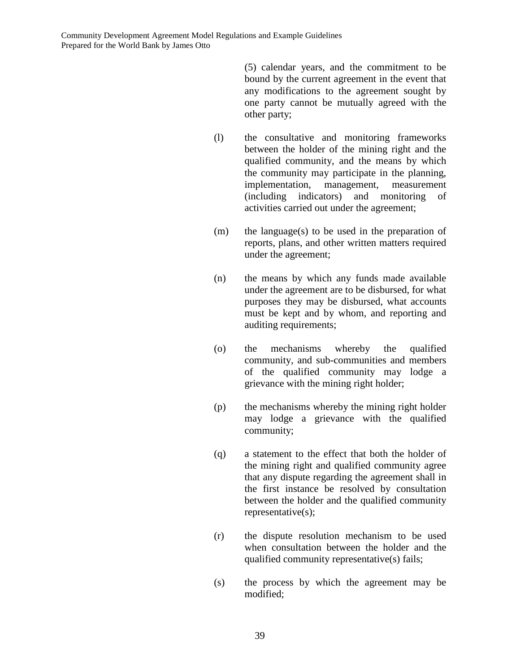(5) calendar years, and the commitment to be bound by the current agreement in the event that any modifications to the agreement sought by one party cannot be mutually agreed with the other party;

- (l) the consultative and monitoring frameworks between the holder of the mining right and the qualified community, and the means by which the community may participate in the planning, implementation, management, measurement (including indicators) and monitoring of activities carried out under the agreement;
- (m) the language(s) to be used in the preparation of reports, plans, and other written matters required under the agreement;
- (n) the means by which any funds made available under the agreement are to be disbursed, for what purposes they may be disbursed, what accounts must be kept and by whom, and reporting and auditing requirements;
- (o) the mechanisms whereby the qualified community, and sub-communities and members of the qualified community may lodge a grievance with the mining right holder;
- (p) the mechanisms whereby the mining right holder may lodge a grievance with the qualified community;
- (q) a statement to the effect that both the holder of the mining right and qualified community agree that any dispute regarding the agreement shall in the first instance be resolved by consultation between the holder and the qualified community representative(s);
- (r) the dispute resolution mechanism to be used when consultation between the holder and the qualified community representative(s) fails;
- (s) the process by which the agreement may be modified;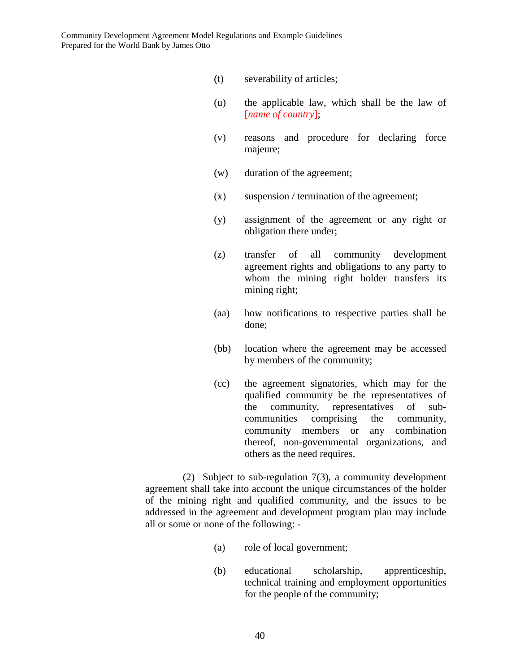- (t) severability of articles;
- (u) the applicable law, which shall be the law of [*name of country*];
- (v) reasons and procedure for declaring force majeure;
- (w) duration of the agreement;
- $(x)$  suspension / termination of the agreement;
- (y) assignment of the agreement or any right or obligation there under;
- (z) transfer of all community development agreement rights and obligations to any party to whom the mining right holder transfers its mining right;
- (aa) how notifications to respective parties shall be done;
- (bb) location where the agreement may be accessed by members of the community;
- (cc) the agreement signatories, which may for the qualified community be the representatives of the community, representatives of subcommunities comprising the community, community members or any combination thereof, non-governmental organizations, and others as the need requires.

(2) Subject to sub-regulation 7(3), a community development agreement shall take into account the unique circumstances of the holder of the mining right and qualified community, and the issues to be addressed in the agreement and development program plan may include all or some or none of the following: -

- (a) role of local government;
- (b) educational scholarship, apprenticeship, technical training and employment opportunities for the people of the community;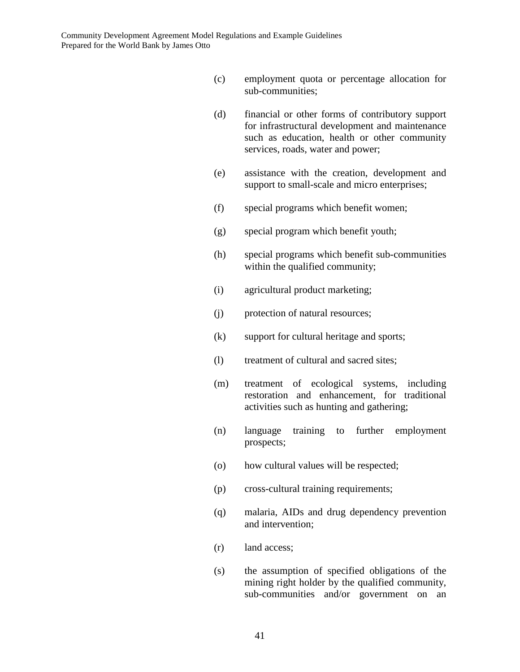- (c) employment quota or percentage allocation for sub-communities;
- (d) financial or other forms of contributory support for infrastructural development and maintenance such as education, health or other community services, roads, water and power;
- (e) assistance with the creation, development and support to small-scale and micro enterprises;
- (f) special programs which benefit women;
- (g) special program which benefit youth;
- (h) special programs which benefit sub-communities within the qualified community;
- (i) agricultural product marketing;
- (j) protection of natural resources;
- (k) support for cultural heritage and sports;
- (l) treatment of cultural and sacred sites;
- (m) treatment of ecological systems, including restoration and enhancement, for traditional activities such as hunting and gathering;
- (n) language training to further employment prospects;
- (o) how cultural values will be respected;
- (p) cross-cultural training requirements;
- (q) malaria, AIDs and drug dependency prevention and intervention;
- (r) land access;
- (s) the assumption of specified obligations of the mining right holder by the qualified community, sub-communities and/or government on an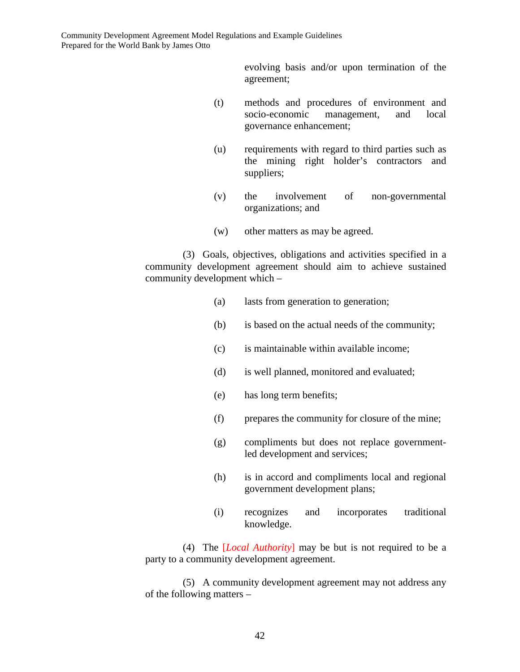evolving basis and/or upon termination of the agreement;

- (t) methods and procedures of environment and socio-economic management, and local governance enhancement;
- (u) requirements with regard to third parties such as the mining right holder's contractors and suppliers;
- (v) the involvement of non-governmental organizations; and
- (w) other matters as may be agreed.

(3) Goals, objectives, obligations and activities specified in a community development agreement should aim to achieve sustained community development which –

- (a) lasts from generation to generation;
- (b) is based on the actual needs of the community;
- (c) is maintainable within available income;
- (d) is well planned, monitored and evaluated;
- (e) has long term benefits;
- (f) prepares the community for closure of the mine;
- (g) compliments but does not replace governmentled development and services;
- (h) is in accord and compliments local and regional government development plans;
- (i) recognizes and incorporates traditional knowledge.

(4) The [*Local Authority*] may be but is not required to be a party to a community development agreement.

(5) A community development agreement may not address any of the following matters –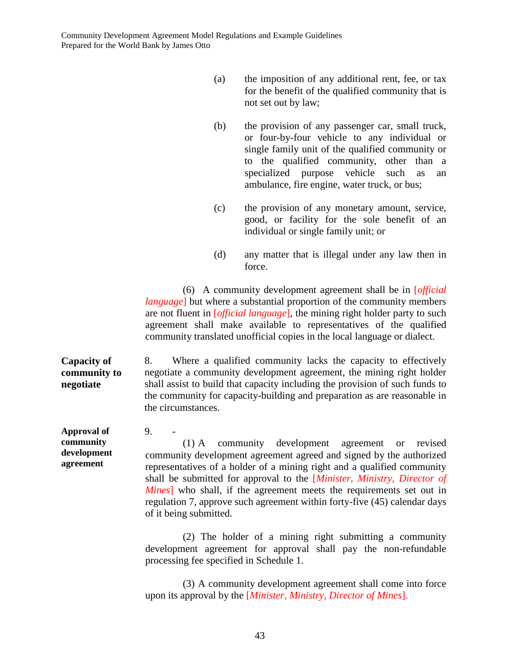- (a) the imposition of any additional rent, fee, or tax for the benefit of the qualified community that is not set out by law;
- (b) the provision of any passenger car, small truck, or four-by-four vehicle to any individual or single family unit of the qualified community or to the qualified community, other than a specialized purpose vehicle such as an ambulance, fire engine, water truck, or bus;
- (c) the provision of any monetary amount, service, good, or facility for the sole benefit of an individual or single family unit; or
- (d) any matter that is illegal under any law then in force.

(6) A community development agreement shall be in [*official language*] but where a substantial proportion of the community members are not fluent in [*official language*], the mining right holder party to such agreement shall make available to representatives of the qualified community translated unofficial copies in the local language or dialect.

**Capacity of community to negotiate**  8. Where a qualified community lacks the capacity to effectively negotiate a community development agreement, the mining right holder shall assist to build that capacity including the provision of such funds to the community for capacity-building and preparation as are reasonable in the circumstances.

**Approval of community development agreement** 

 $9<sub>1</sub>$ 

(1) A community development agreement or revised community development agreement agreed and signed by the authorized representatives of a holder of a mining right and a qualified community shall be submitted for approval to the [*Minister, Ministry, Director of Mines*] who shall, if the agreement meets the requirements set out in regulation 7, approve such agreement within forty-five (45) calendar days of it being submitted.

(2) The holder of a mining right submitting a community development agreement for approval shall pay the non-refundable processing fee specified in Schedule 1.

(3) A community development agreement shall come into force upon its approval by the [*Minister, Ministry, Director of Mines*].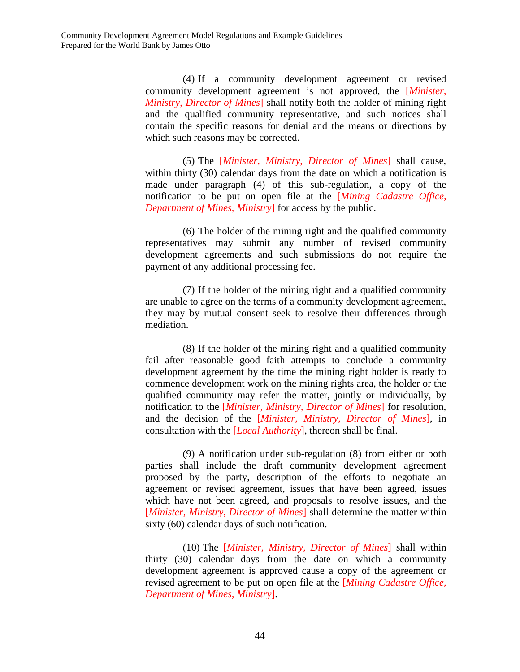(4) If a community development agreement or revised community development agreement is not approved, the [*Minister, Ministry, Director of Mines*] shall notify both the holder of mining right and the qualified community representative, and such notices shall contain the specific reasons for denial and the means or directions by which such reasons may be corrected.

(5) The [*Minister, Ministry, Director of Mines*] shall cause, within thirty (30) calendar days from the date on which a notification is made under paragraph (4) of this sub-regulation, a copy of the notification to be put on open file at the [*Mining Cadastre Office, Department of Mines, Ministry*] for access by the public.

(6) The holder of the mining right and the qualified community representatives may submit any number of revised community development agreements and such submissions do not require the payment of any additional processing fee.

(7) If the holder of the mining right and a qualified community are unable to agree on the terms of a community development agreement, they may by mutual consent seek to resolve their differences through mediation.

(8) If the holder of the mining right and a qualified community fail after reasonable good faith attempts to conclude a community development agreement by the time the mining right holder is ready to commence development work on the mining rights area, the holder or the qualified community may refer the matter, jointly or individually, by notification to the [*Minister, Ministry, Director of Mines*] for resolution, and the decision of the [*Minister, Ministry, Director of Mines*], in consultation with the [*Local Authority*], thereon shall be final.

(9) A notification under sub-regulation (8) from either or both parties shall include the draft community development agreement proposed by the party, description of the efforts to negotiate an agreement or revised agreement, issues that have been agreed, issues which have not been agreed, and proposals to resolve issues, and the [*Minister, Ministry, Director of Mines*] shall determine the matter within sixty (60) calendar days of such notification.

(10) The [*Minister, Ministry, Director of Mines*] shall within thirty (30) calendar days from the date on which a community development agreement is approved cause a copy of the agreement or revised agreement to be put on open file at the [*Mining Cadastre Office, Department of Mines, Ministry*].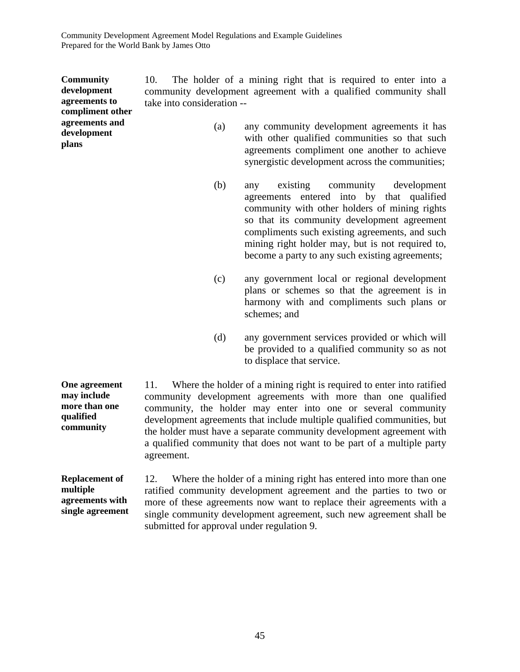**Community development agreements to** 

**agreements and development** 

**plans** 

**compliment other**  10. The holder of a mining right that is required to enter into a community development agreement with a qualified community shall take into consideration --

- (a) any community development agreements it has with other qualified communities so that such agreements compliment one another to achieve synergistic development across the communities;
- (b) any existing community development agreements entered into by that qualified community with other holders of mining rights so that its community development agreement compliments such existing agreements, and such mining right holder may, but is not required to. become a party to any such existing agreements;
- (c) any government local or regional development plans or schemes so that the agreement is in harmony with and compliments such plans or schemes; and
- (d) any government services provided or which will be provided to a qualified community so as not to displace that service.

**One agreement may include more than one qualified community**  11. Where the holder of a mining right is required to enter into ratified community development agreements with more than one qualified community, the holder may enter into one or several community development agreements that include multiple qualified communities, but the holder must have a separate community development agreement with a qualified community that does not want to be part of a multiple party agreement.

**Replacement of multiple agreements with single agreement**  12. Where the holder of a mining right has entered into more than one ratified community development agreement and the parties to two or more of these agreements now want to replace their agreements with a single community development agreement, such new agreement shall be submitted for approval under regulation 9.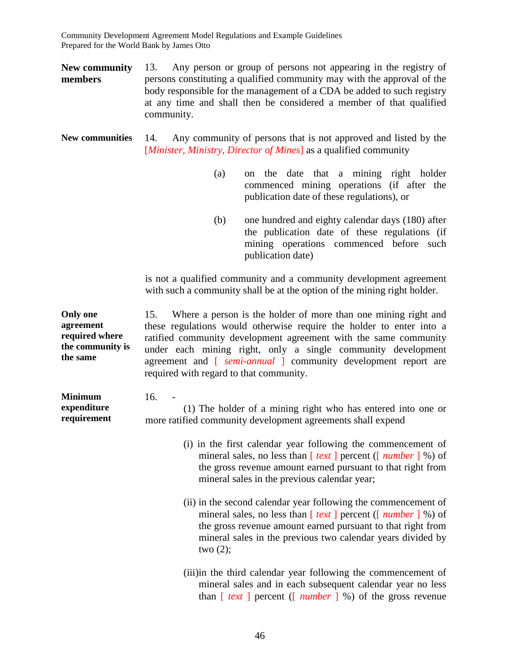**New community members**  13. Any person or group of persons not appearing in the registry of persons constituting a qualified community may with the approval of the body responsible for the management of a CDA be added to such registry at any time and shall then be considered a member of that qualified community.

**New communities** 14. Any community of persons that is not approved and listed by the [*Minister, Ministry, Director of Mines*] as a qualified community

- (a) on the date that a mining right holder commenced mining operations (if after the publication date of these regulations), or
- (b) one hundred and eighty calendar days (180) after the publication date of these regulations (if mining operations commenced before such publication date)

is not a qualified community and a community development agreement with such a community shall be at the option of the mining right holder.

**Only one agreement required where the community is the same**  15. Where a person is the holder of more than one mining right and these regulations would otherwise require the holder to enter into a ratified community development agreement with the same community under each mining right, only a single community development agreement and [ *semi-annual* ] community development report are required with regard to that community.

| <b>Minimum</b> | 16.<br>$\overline{\phantom{a}}$                              |
|----------------|--------------------------------------------------------------|
| expenditure    | (1) The holder of a mining right who has entered into one or |
| requirement    | more ratified community development agreements shall expend  |

- (i) in the first calendar year following the commencement of mineral sales, no less than [ *text* ] percent ([ *number* ] %) of the gross revenue amount earned pursuant to that right from mineral sales in the previous calendar year;
- (ii) in the second calendar year following the commencement of mineral sales, no less than [ *text* ] percent ([ *number* ] %) of the gross revenue amount earned pursuant to that right from mineral sales in the previous two calendar years divided by two  $(2)$ ;
- (iii)in the third calendar year following the commencement of mineral sales and in each subsequent calendar year no less than [ *text* ] percent ([ *number* ] %) of the gross revenue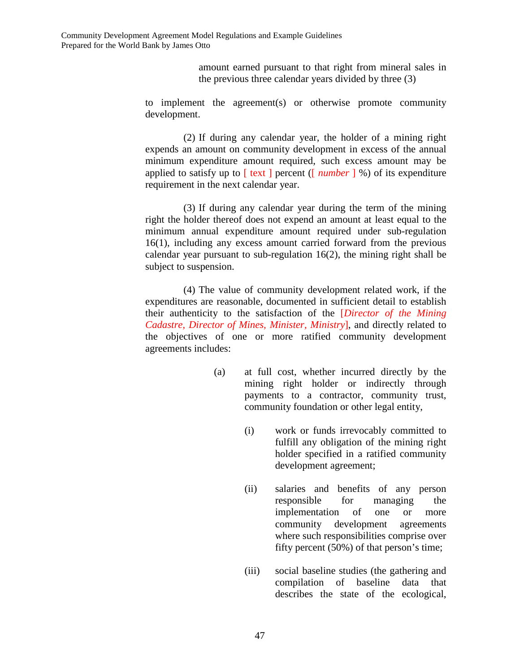amount earned pursuant to that right from mineral sales in the previous three calendar years divided by three (3)

to implement the agreement(s) or otherwise promote community development.

(2) If during any calendar year, the holder of a mining right expends an amount on community development in excess of the annual minimum expenditure amount required, such excess amount may be applied to satisfy up to [ text ] percent ([ *number* ] %) of its expenditure requirement in the next calendar year.

(3) If during any calendar year during the term of the mining right the holder thereof does not expend an amount at least equal to the minimum annual expenditure amount required under sub-regulation 16(1), including any excess amount carried forward from the previous calendar year pursuant to sub-regulation 16(2), the mining right shall be subject to suspension.

(4) The value of community development related work, if the expenditures are reasonable, documented in sufficient detail to establish their authenticity to the satisfaction of the [*Director of the Mining Cadastre, Director of Mines, Minister, Ministry*], and directly related to the objectives of one or more ratified community development agreements includes:

- (a) at full cost, whether incurred directly by the mining right holder or indirectly through payments to a contractor, community trust, community foundation or other legal entity,
	- (i) work or funds irrevocably committed to fulfill any obligation of the mining right holder specified in a ratified community development agreement;
	- (ii) salaries and benefits of any person responsible for managing the implementation of one or more community development agreements where such responsibilities comprise over fifty percent (50%) of that person's time;
	- (iii) social baseline studies (the gathering and compilation of baseline data that describes the state of the ecological,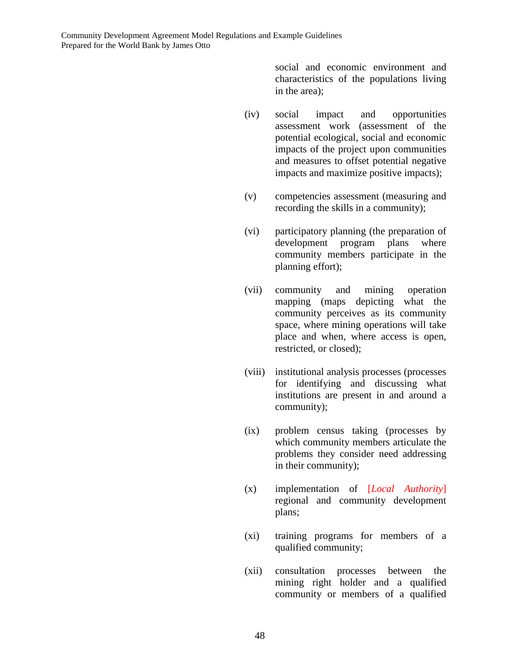social and economic environment and characteristics of the populations living in the area);

- (iv) social impact and opportunities assessment work (assessment of the potential ecological, social and economic impacts of the project upon communities and measures to offset potential negative impacts and maximize positive impacts);
- (v) competencies assessment (measuring and recording the skills in a community);
- (vi) participatory planning (the preparation of development program plans where community members participate in the planning effort);
- (vii) community and mining operation mapping (maps depicting what the community perceives as its community space, where mining operations will take place and when, where access is open, restricted, or closed);
- (viii) institutional analysis processes (processes for identifying and discussing what institutions are present in and around a community);
- (ix) problem census taking (processes by which community members articulate the problems they consider need addressing in their community);
- (x) implementation of [*Local Authority*] regional and community development plans;
- (xi) training programs for members of a qualified community;
- (xii) consultation processes between the mining right holder and a qualified community or members of a qualified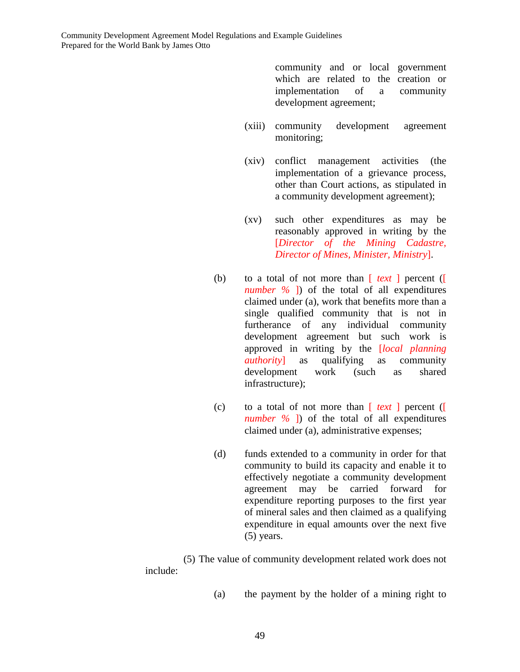community and or local government which are related to the creation or implementation of a community development agreement;

- (xiii) community development agreement monitoring;
- (xiv) conflict management activities (the implementation of a grievance process, other than Court actions, as stipulated in a community development agreement);
- (xv) such other expenditures as may be reasonably approved in writing by the [*Director of the Mining Cadastre, Director of Mines, Minister, Ministry*].
- (b) to a total of not more than [ *text* ] percent ([ *number %* ]) of the total of all expenditures claimed under (a), work that benefits more than a single qualified community that is not in furtherance of any individual community development agreement but such work is approved in writing by the [*local planning authority*] as qualifying as community development work (such as shared infrastructure);
- (c) to a total of not more than [ *text* ] percent ([ *number %* ]) of the total of all expenditures claimed under (a), administrative expenses;
- (d) funds extended to a community in order for that community to build its capacity and enable it to effectively negotiate a community development agreement may be carried forward for expenditure reporting purposes to the first year of mineral sales and then claimed as a qualifying expenditure in equal amounts over the next five (5) years.

(5) The value of community development related work does not include:

(a) the payment by the holder of a mining right to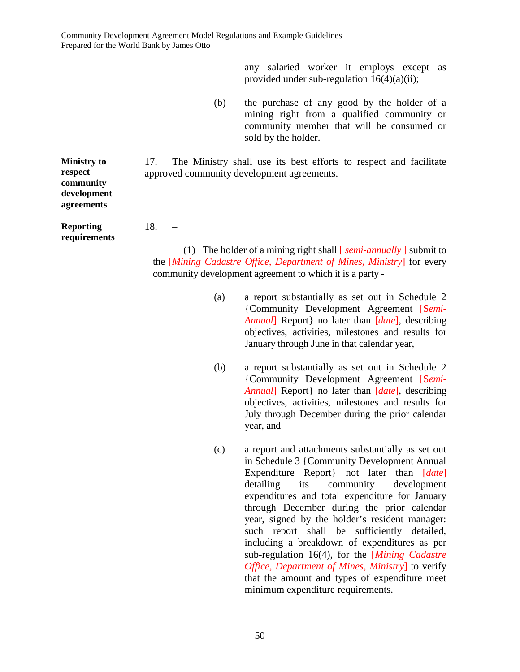any salaried worker it employs except as provided under sub-regulation 16(4)(a)(ii);

(b) the purchase of any good by the holder of a mining right from a qualified community or community member that will be consumed or sold by the holder.

17. The Ministry shall use its best efforts to respect and facilitate approved community development agreements.

**Ministry to respect community development agreements** 

**Reporting requirements**  18. –

(1) The holder of a mining right shall [ *semi-annually* ] submit to the [*Mining Cadastre Office, Department of Mines, Ministry*] for every community development agreement to which it is a party -

- (a) a report substantially as set out in Schedule 2 {Community Development Agreement [S*emi-Annual*] Report} no later than [*date*], describing objectives, activities, milestones and results for January through June in that calendar year,
- (b) a report substantially as set out in Schedule 2 {Community Development Agreement [S*emi-Annual*] Report} no later than [*date*], describing objectives, activities, milestones and results for July through December during the prior calendar year, and
- (c) a report and attachments substantially as set out in Schedule 3 {Community Development Annual Expenditure Report} not later than [*date*] detailing its community development expenditures and total expenditure for January through December during the prior calendar year, signed by the holder's resident manager: such report shall be sufficiently detailed, including a breakdown of expenditures as per sub-regulation 16(4), for the [*Mining Cadastre Office, Department of Mines, Ministry*] to verify that the amount and types of expenditure meet minimum expenditure requirements.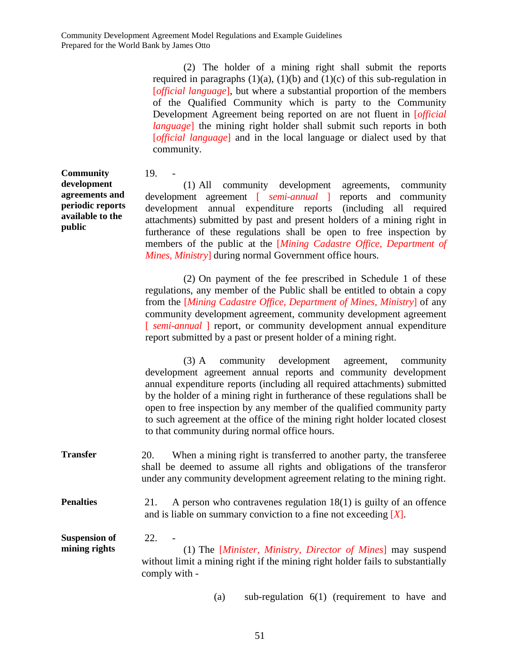(2) The holder of a mining right shall submit the reports

required in paragraphs  $(1)(a)$ ,  $(1)(b)$  and  $(1)(c)$  of this sub-regulation in [*official language*], but where a substantial proportion of the members

of the Qualified Community which is party to the Community Development Agreement being reported on are not fluent in [*official language*] the mining right holder shall submit such reports in both [*official language*] and in the local language or dialect used by that community. **Community development agreements and periodic reports available to the public** 19. - (1) All community development agreements, community development agreement [ *semi-annual* ] reports and community development annual expenditure reports (including all required attachments) submitted by past and present holders of a mining right in furtherance of these regulations shall be open to free inspection by members of the public at the [*Mining Cadastre Office, Department of Mines, Ministry*] during normal Government office hours. (2) On payment of the fee prescribed in Schedule 1 of these regulations, any member of the Public shall be entitled to obtain a copy from the [*Mining Cadastre Office, Department of Mines, Ministry*] of any community development agreement, community development agreement [ *semi-annual* ] report, or community development annual expenditure report submitted by a past or present holder of a mining right. (3) A community development agreement, community development agreement annual reports and community development annual expenditure reports (including all required attachments) submitted by the holder of a mining right in furtherance of these regulations shall be open to free inspection by any member of the qualified community party to such agreement at the office of the mining right holder located closest to that community during normal office hours. **Transfer** 20. When a mining right is transferred to another party, the transferee shall be deemed to assume all rights and obligations of the transferor under any community development agreement relating to the mining right. **Penalties** 21. A person who contravenes regulation 18(1) is guilty of an offence and is liable on summary conviction to a fine not exceeding [*X*]. **Suspension of mining rights**  22. - (1) The [*Minister, Ministry, Director of Mines*] may suspend without limit a mining right if the mining right holder fails to substantially comply with - (a) sub-regulation 6(1) (requirement to have and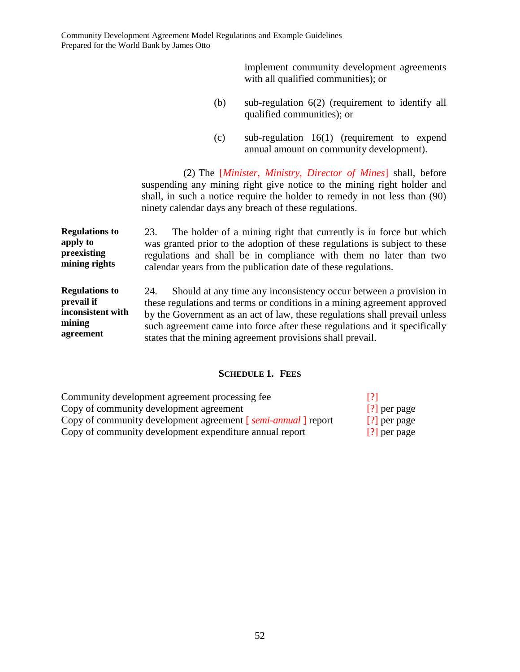implement community development agreements with all qualified communities); or

- (b) sub-regulation 6(2) (requirement to identify all qualified communities); or
- (c) sub-regulation 16(1) (requirement to expend annual amount on community development).

(2) The [*Minister, Ministry, Director of Mines*] shall, before suspending any mining right give notice to the mining right holder and shall, in such a notice require the holder to remedy in not less than (90) ninety calendar days any breach of these regulations.

**Regulations to apply to preexisting mining rights**  23. The holder of a mining right that currently is in force but which was granted prior to the adoption of these regulations is subject to these regulations and shall be in compliance with them no later than two calendar years from the publication date of these regulations.

**Regulations to prevail if inconsistent with mining agreement**  24. Should at any time any inconsistency occur between a provision in these regulations and terms or conditions in a mining agreement approved by the Government as an act of law, these regulations shall prevail unless such agreement came into force after these regulations and it specifically states that the mining agreement provisions shall prevail.

### **SCHEDULE 1. FEES**

| Community development agreement processing fee                 |                |
|----------------------------------------------------------------|----------------|
| Copy of community development agreement                        | $[?]$ per page |
| Copy of community development agreement [ semi-annual ] report | $[?]$ per page |
| Copy of community development expenditure annual report        | [?] per page   |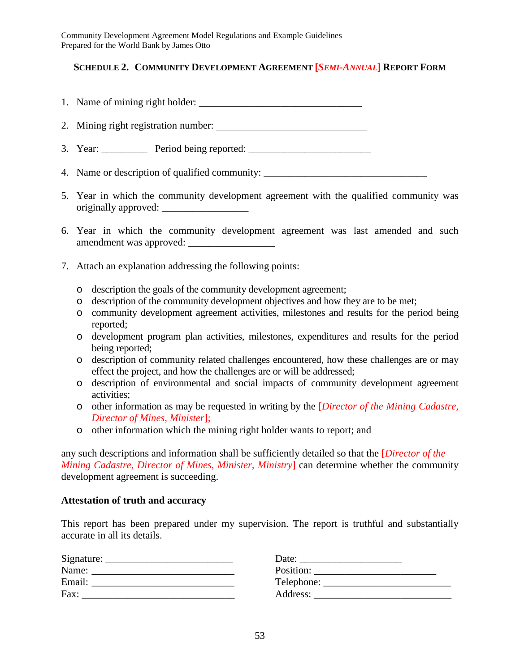## **SCHEDULE 2. COMMUNITY DEVELOPMENT AGREEMENT [***SEMI-ANNUAL***] REPORT FORM**

- 1. Name of mining right holder: \_\_\_\_\_\_\_\_\_\_\_\_\_\_\_\_\_\_\_\_\_\_\_\_\_\_\_\_\_\_\_\_
- 2. Mining right registration number:
- 3. Year: \_\_\_\_\_\_\_\_\_ Period being reported: \_\_\_\_\_\_\_\_\_\_\_\_\_\_\_\_\_\_\_\_\_\_\_\_
- 4. Name or description of qualified community: \_\_\_\_\_\_\_\_\_\_\_\_\_\_\_\_\_\_\_\_\_\_\_\_\_\_\_\_\_\_\_\_\_
- 5. Year in which the community development agreement with the qualified community was originally approved:
- 6. Year in which the community development agreement was last amended and such amendment was approved:
- 7. Attach an explanation addressing the following points:
	- o description the goals of the community development agreement;
	- o description of the community development objectives and how they are to be met;
	- o community development agreement activities, milestones and results for the period being reported;
	- o development program plan activities, milestones, expenditures and results for the period being reported;
	- o description of community related challenges encountered, how these challenges are or may effect the project, and how the challenges are or will be addressed;
	- o description of environmental and social impacts of community development agreement activities;
	- o other information as may be requested in writing by the [*Director of the Mining Cadastre, Director of Mines, Minister*];
	- o other information which the mining right holder wants to report; and

any such descriptions and information shall be sufficiently detailed so that the [*Director of the Mining Cadastre, Director of Mines, Minister, Ministry*] can determine whether the community development agreement is succeeding.

### **Attestation of truth and accuracy**

This report has been prepared under my supervision. The report is truthful and substantially accurate in all its details.

| Signature: | Date:      |
|------------|------------|
| Name:      | Position:  |
| Email:     | Telephone: |
| Fax:       | Address:   |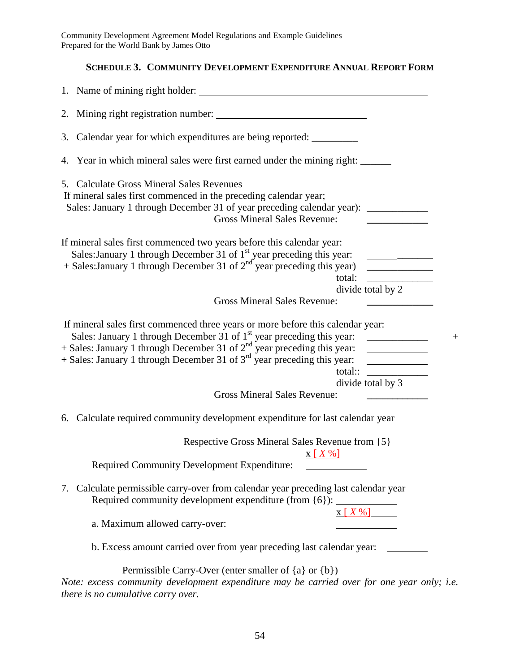# **SCHEDULE 3. COMMUNITY DEVELOPMENT EXPENDITURE ANNUAL REPORT FORM**

| 1. Name of mining right holder:                                                                                                                                                                                                                                                                                                                                                       |                                                                                                         |
|---------------------------------------------------------------------------------------------------------------------------------------------------------------------------------------------------------------------------------------------------------------------------------------------------------------------------------------------------------------------------------------|---------------------------------------------------------------------------------------------------------|
|                                                                                                                                                                                                                                                                                                                                                                                       |                                                                                                         |
| 3. Calendar year for which expenditures are being reported: ______________                                                                                                                                                                                                                                                                                                            |                                                                                                         |
| 4. Year in which mineral sales were first earned under the mining right:                                                                                                                                                                                                                                                                                                              |                                                                                                         |
| 5. Calculate Gross Mineral Sales Revenues<br>If mineral sales first commenced in the preceding calendar year;<br>Sales: January 1 through December 31 of year preceding calendar year): _________<br><b>Gross Mineral Sales Revenue:</b>                                                                                                                                              | <u> 1989 - Johann Barbara, martin a</u>                                                                 |
| If mineral sales first commenced two years before this calendar year:<br>Sales: January 1 through December 31 of 1 <sup>st</sup> year preceding this year:<br>total:                                                                                                                                                                                                                  | <u> The Common State Common State</u><br>divide total by 2                                              |
| <b>Gross Mineral Sales Revenue:</b>                                                                                                                                                                                                                                                                                                                                                   |                                                                                                         |
| If mineral sales first commenced three years or more before this calendar year:<br>Sales: January 1 through December 31 of 1 <sup>st</sup> year preceding this year: _____________<br>+ Sales: January 1 through December 31 of $2nd$ year preceding this year:<br>$+$ Sales: January 1 through December 31 of $3rd$ year preceding this year:<br><b>Gross Mineral Sales Revenue:</b> | $+$<br><u> Albanya (Albanya)</u><br>divide total by 3<br><u> The Communication of the Communication</u> |
| 6. Calculate required community development expenditure for last calendar year                                                                                                                                                                                                                                                                                                        |                                                                                                         |
| Respective Gross Mineral Sales Revenue from {5}<br>$X[X\%]$<br>Required Community Development Expenditure:                                                                                                                                                                                                                                                                            |                                                                                                         |
| 7. Calculate permissible carry-over from calendar year preceding last calendar year<br>Required community development expenditure (from {6}):                                                                                                                                                                                                                                         | $X[X\%]$                                                                                                |
| a. Maximum allowed carry-over:                                                                                                                                                                                                                                                                                                                                                        |                                                                                                         |
| b. Excess amount carried over from year preceding last calendar year:                                                                                                                                                                                                                                                                                                                 |                                                                                                         |
| Permissible Carry-Over (enter smaller of {a} or {b})<br>Note: excess community development expenditure may be carried over for one year only; i.e.                                                                                                                                                                                                                                    |                                                                                                         |

*there is no cumulative carry over.*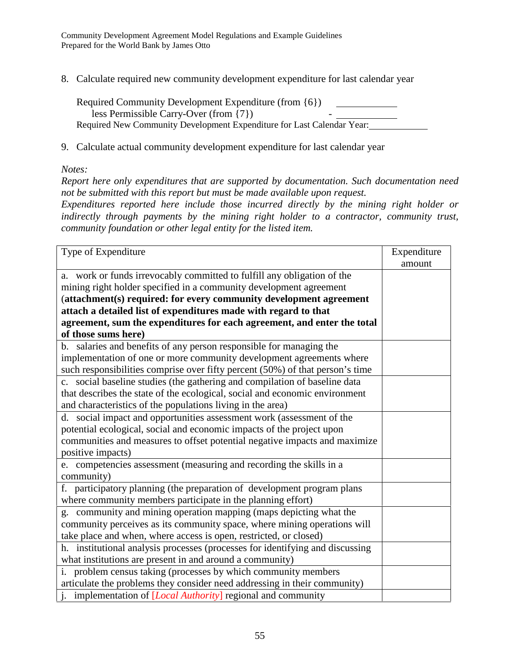8. Calculate required new community development expenditure for last calendar year

| Required Community Development Expenditure (from {6})                  |  |
|------------------------------------------------------------------------|--|
| less Permissible Carry-Over (from $\{7\}$ )                            |  |
| Required New Community Development Expenditure for Last Calendar Year: |  |

9. Calculate actual community development expenditure for last calendar year

#### *Notes:*

*Report here only expenditures that are supported by documentation. Such documentation need not be submitted with this report but must be made available upon request.* 

*Expenditures reported here include those incurred directly by the mining right holder or indirectly through payments by the mining right holder to a contractor, community trust, community foundation or other legal entity for the listed item.* 

| Type of Expenditure                                                           | Expenditure |
|-------------------------------------------------------------------------------|-------------|
|                                                                               | amount      |
| a. work or funds irrevocably committed to fulfill any obligation of the       |             |
| mining right holder specified in a community development agreement            |             |
| (attachment(s) required: for every community development agreement            |             |
| attach a detailed list of expenditures made with regard to that               |             |
| agreement, sum the expenditures for each agreement, and enter the total       |             |
| of those sums here)                                                           |             |
| b. salaries and benefits of any person responsible for managing the           |             |
| implementation of one or more community development agreements where          |             |
| such responsibilities comprise over fifty percent (50%) of that person's time |             |
| c. social baseline studies (the gathering and compilation of baseline data    |             |
| that describes the state of the ecological, social and economic environment   |             |
| and characteristics of the populations living in the area)                    |             |
| d. social impact and opportunities assessment work (assessment of the         |             |
| potential ecological, social and economic impacts of the project upon         |             |
| communities and measures to offset potential negative impacts and maximize    |             |
| positive impacts)                                                             |             |
| e. competencies assessment (measuring and recording the skills in a           |             |
| community)                                                                    |             |
| f. participatory planning (the preparation of development program plans       |             |
| where community members participate in the planning effort)                   |             |
| g. community and mining operation mapping (maps depicting what the            |             |
| community perceives as its community space, where mining operations will      |             |
| take place and when, where access is open, restricted, or closed)             |             |
| h. institutional analysis processes (processes for identifying and discussing |             |
| what institutions are present in and around a community)                      |             |
| i. problem census taking (processes by which community members                |             |
| articulate the problems they consider need addressing in their community)     |             |
| <i>i.</i> implementation of <i>[Local Authority]</i> regional and community   |             |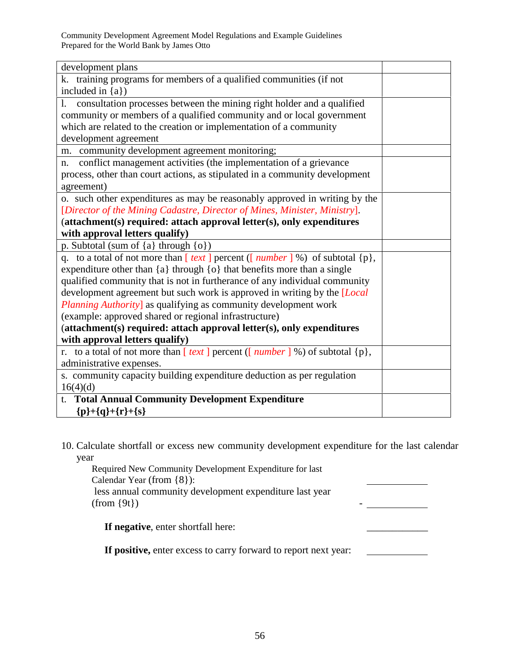| development plans                                                                           |  |
|---------------------------------------------------------------------------------------------|--|
| k. training programs for members of a qualified communities (if not                         |  |
| included in ${a}$ )                                                                         |  |
| consultation processes between the mining right holder and a qualified<br>1.                |  |
| community or members of a qualified community and or local government                       |  |
| which are related to the creation or implementation of a community                          |  |
| development agreement                                                                       |  |
| m. community development agreement monitoring;                                              |  |
| conflict management activities (the implementation of a grievance<br>n.                     |  |
| process, other than court actions, as stipulated in a community development                 |  |
| agreement)                                                                                  |  |
| o. such other expenditures as may be reasonably approved in writing by the                  |  |
| [Director of the Mining Cadastre, Director of Mines, Minister, Ministry].                   |  |
| (attachment(s) required: attach approval letter(s), only expenditures                       |  |
| with approval letters qualify)                                                              |  |
| p. Subtotal (sum of {a} through {o})                                                        |  |
| q. to a total of not more than $[text]$ percent ([ <i>number</i> ] %) of subtotal $\{p\}$ , |  |
| expenditure other than ${a}$ through ${o}$ that benefits more than a single                 |  |
| qualified community that is not in furtherance of any individual community                  |  |
| development agreement but such work is approved in writing by the [Local                    |  |
| <i>Planning Authority</i> ] as qualifying as community development work                     |  |
| (example: approved shared or regional infrastructure)                                       |  |
| (attachment(s) required: attach approval letter(s), only expenditures                       |  |
| with approval letters qualify)                                                              |  |
| r. to a total of not more than $[text] per cent ([number] %) of subtotal {p},$              |  |
| administrative expenses.                                                                    |  |
| s. community capacity building expenditure deduction as per regulation                      |  |
| 16(4)(d)                                                                                    |  |
| t. Total Annual Community Development Expenditure                                           |  |
| ${p}+{q}+{r}+{s}$                                                                           |  |

10. Calculate shortfall or excess new community development expenditure for the last calendar year

 Required New Community Development Expenditure for last Calendar Year (from {8}): less annual community development expenditure last year (from {9t}) - **If negative**, enter shortfall here: \_\_\_\_\_\_\_\_\_\_\_\_

**If positive,** enter excess to carry forward to report next year: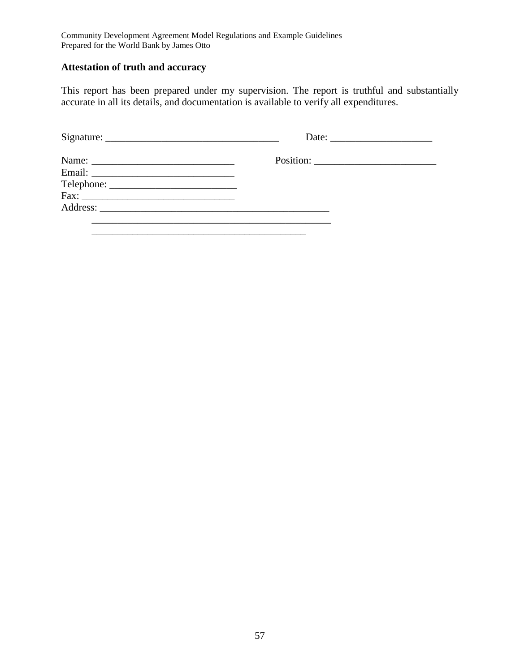## **Attestation of truth and accuracy**

This report has been prepared under my supervision. The report is truthful and substantially accurate in all its details, and documentation is available to verify all expenditures.

| Name: $\frac{1}{\sqrt{1-\frac{1}{2}} \cdot \frac{1}{2}}$ |  |
|----------------------------------------------------------|--|
|                                                          |  |
|                                                          |  |
| $Fax: __________$                                        |  |
|                                                          |  |
|                                                          |  |
|                                                          |  |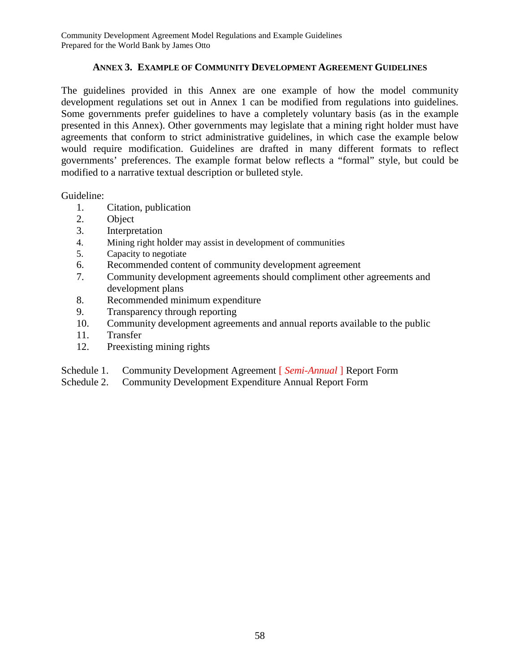## **ANNEX 3. EXAMPLE OF COMMUNITY DEVELOPMENT AGREEMENT GUIDELINES**

The guidelines provided in this Annex are one example of how the model community development regulations set out in Annex 1 can be modified from regulations into guidelines. Some governments prefer guidelines to have a completely voluntary basis (as in the example presented in this Annex). Other governments may legislate that a mining right holder must have agreements that conform to strict administrative guidelines, in which case the example below would require modification. Guidelines are drafted in many different formats to reflect governments' preferences. The example format below reflects a "formal" style, but could be modified to a narrative textual description or bulleted style.

Guideline:

- 1. Citation, publication
- 2. Object
- 3. Interpretation
- 4. Mining right holder may assist in development of communities
- 5. Capacity to negotiate
- 6. Recommended content of community development agreement
- 7. Community development agreements should compliment other agreements and development plans
- 8. Recommended minimum expenditure
- 9. Transparency through reporting
- 10. Community development agreements and annual reports available to the public
- 11. Transfer
- 12. Preexisting mining rights
- Schedule 1. Community Development Agreement [ *Semi-Annual* ] Report Form
- Schedule 2. Community Development Expenditure Annual Report Form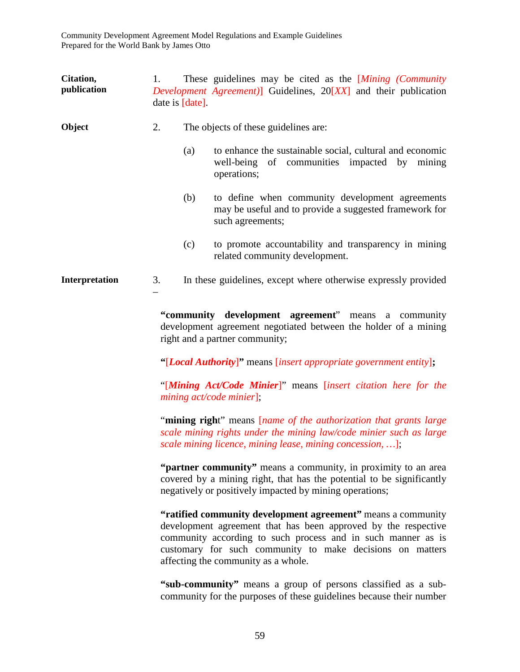| Citation,<br>publication | 1. | date is [date]. | These guidelines may be cited as the [Mining (Community<br>Development Agreement)] Guidelines, $20[XX]$ and their publication                                                                                                                                                                                                                                                                                                                                                                                                                     |
|--------------------------|----|-----------------|---------------------------------------------------------------------------------------------------------------------------------------------------------------------------------------------------------------------------------------------------------------------------------------------------------------------------------------------------------------------------------------------------------------------------------------------------------------------------------------------------------------------------------------------------|
| Object                   | 2. |                 | The objects of these guidelines are:                                                                                                                                                                                                                                                                                                                                                                                                                                                                                                              |
|                          |    | (a)             | to enhance the sustainable social, cultural and economic<br>well-being of communities impacted by mining<br>operations;                                                                                                                                                                                                                                                                                                                                                                                                                           |
|                          |    | (b)             | to define when community development agreements<br>may be useful and to provide a suggested framework for<br>such agreements;                                                                                                                                                                                                                                                                                                                                                                                                                     |
|                          |    | (c)             | to promote accountability and transparency in mining<br>related community development.                                                                                                                                                                                                                                                                                                                                                                                                                                                            |
| Interpretation           | 3. |                 | In these guidelines, except where otherwise expressly provided                                                                                                                                                                                                                                                                                                                                                                                                                                                                                    |
|                          |    |                 | "community development agreement" means a community<br>development agreement negotiated between the holder of a mining<br>right and a partner community;<br>"[Local Authority]" means [insert appropriate government entity];<br>"[Mining Act/Code Minier]" means [insert citation here for the<br>$mining$ $act/code$ $minier$ };<br>"mining right" means <i>[name of the authorization that grants large</i><br>scale mining rights under the mining law/code minier such as large<br>scale mining licence, mining lease, mining concession, ]; |
|                          |    |                 | "partner community" means a community, in proximity to an area<br>covered by a mining right, that has the potential to be significantly<br>negatively or positively impacted by mining operations;                                                                                                                                                                                                                                                                                                                                                |
|                          |    |                 | "ratified community development agreement" means a community<br>development agreement that has been approved by the respective<br>community according to such process and in such manner as is<br>customary for such community to make decisions on matters<br>affecting the community as a whole.                                                                                                                                                                                                                                                |
|                          |    |                 | "sub-community" means a group of persons classified as a sub-<br>community for the purposes of these guidelines because their number                                                                                                                                                                                                                                                                                                                                                                                                              |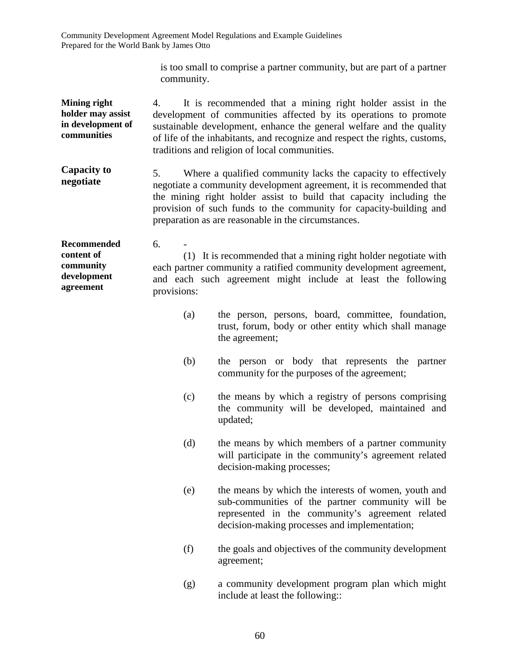> is too small to comprise a partner community, but are part of a partner community.

**Mining right holder may assist in development of communities**  4. It is recommended that a mining right holder assist in the development of communities affected by its operations to promote sustainable development, enhance the general welfare and the quality of life of the inhabitants, and recognize and respect the rights, customs, traditions and religion of local communities.

**Capacity to negotiate**  5. Where a qualified community lacks the capacity to effectively negotiate a community development agreement, it is recommended that the mining right holder assist to build that capacity including the provision of such funds to the community for capacity-building and preparation as are reasonable in the circumstances.

**Recommended content of community development agreement**  6. - (1) It is recommended that a mining right holder negotiate with each partner community a ratified community development agreement, and each such agreement might include at least the following provisions:

- (a) the person, persons, board, committee, foundation, trust, forum, body or other entity which shall manage the agreement;
- (b) the person or body that represents the partner community for the purposes of the agreement;
- (c) the means by which a registry of persons comprising the community will be developed, maintained and updated;
- (d) the means by which members of a partner community will participate in the community's agreement related decision-making processes;
- (e) the means by which the interests of women, youth and sub-communities of the partner community will be represented in the community's agreement related decision-making processes and implementation;
- (f) the goals and objectives of the community development agreement;
- (g) a community development program plan which might include at least the following::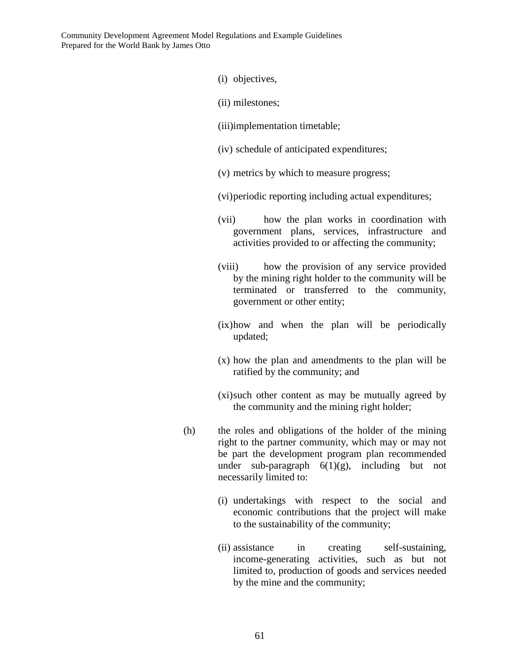- (i) objectives,
- (ii) milestones;
- (iii)implementation timetable;
- (iv) schedule of anticipated expenditures;
- (v) metrics by which to measure progress;
- (vi) periodic reporting including actual expenditures;
- (vii) how the plan works in coordination with government plans, services, infrastructure and activities provided to or affecting the community;
- (viii) how the provision of any service provided by the mining right holder to the community will be terminated or transferred to the community, government or other entity;
- (ix) how and when the plan will be periodically updated;
- (x) how the plan and amendments to the plan will be ratified by the community; and
- (xi) such other content as may be mutually agreed by the community and the mining right holder;
- (h) the roles and obligations of the holder of the mining right to the partner community, which may or may not be part the development program plan recommended under sub-paragraph  $6(1)(g)$ , including but not necessarily limited to:
	- (i) undertakings with respect to the social and economic contributions that the project will make to the sustainability of the community;
	- (ii) assistance in creating self-sustaining, income-generating activities, such as but not limited to, production of goods and services needed by the mine and the community;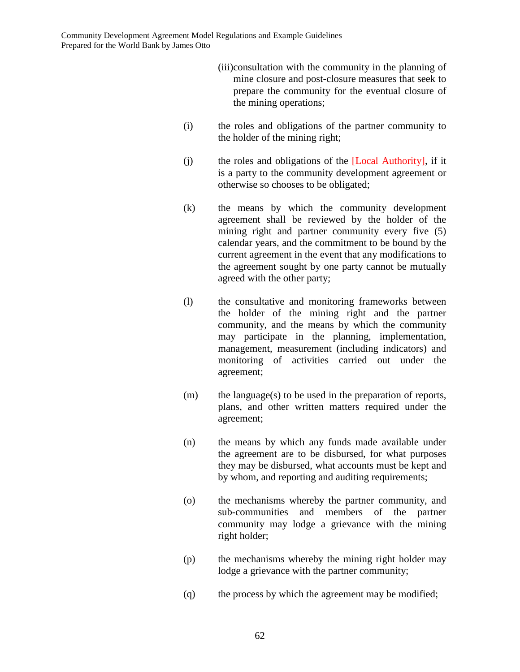- (iii)consultation with the community in the planning of mine closure and post-closure measures that seek to prepare the community for the eventual closure of the mining operations;
- (i) the roles and obligations of the partner community to the holder of the mining right;
- (j) the roles and obligations of the [Local Authority], if it is a party to the community development agreement or otherwise so chooses to be obligated;
- (k) the means by which the community development agreement shall be reviewed by the holder of the mining right and partner community every five (5) calendar years, and the commitment to be bound by the current agreement in the event that any modifications to the agreement sought by one party cannot be mutually agreed with the other party;
- (l) the consultative and monitoring frameworks between the holder of the mining right and the partner community, and the means by which the community may participate in the planning, implementation, management, measurement (including indicators) and monitoring of activities carried out under the agreement;
- (m) the language(s) to be used in the preparation of reports, plans, and other written matters required under the agreement;
- (n) the means by which any funds made available under the agreement are to be disbursed, for what purposes they may be disbursed, what accounts must be kept and by whom, and reporting and auditing requirements;
- (o) the mechanisms whereby the partner community, and sub-communities and members of the partner community may lodge a grievance with the mining right holder;
- (p) the mechanisms whereby the mining right holder may lodge a grievance with the partner community;
- (q) the process by which the agreement may be modified;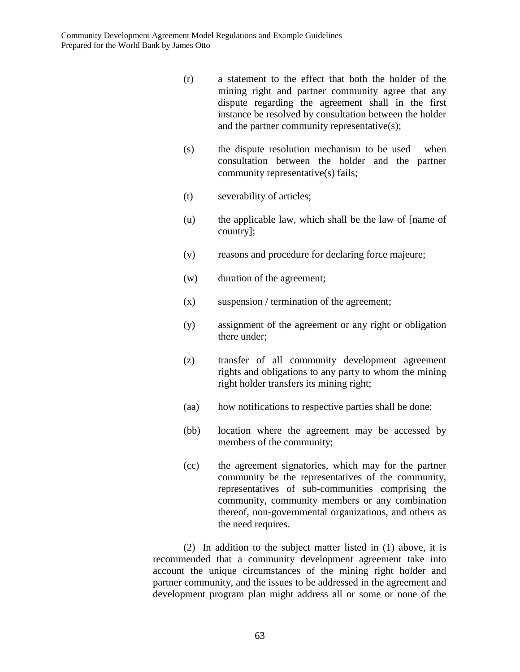- (r) a statement to the effect that both the holder of the mining right and partner community agree that any dispute regarding the agreement shall in the first instance be resolved by consultation between the holder and the partner community representative(s);
- (s) the dispute resolution mechanism to be used when consultation between the holder and the partner community representative(s) fails;
- (t) severability of articles;
- (u) the applicable law, which shall be the law of [name of country];
- (v) reasons and procedure for declaring force majeure;
- (w) duration of the agreement;
- (x) suspension / termination of the agreement;
- (y) assignment of the agreement or any right or obligation there under;
- (z) transfer of all community development agreement rights and obligations to any party to whom the mining right holder transfers its mining right;
- (aa) how notifications to respective parties shall be done;
- (bb) location where the agreement may be accessed by members of the community;
- (cc) the agreement signatories, which may for the partner community be the representatives of the community, representatives of sub-communities comprising the community, community members or any combination thereof, non-governmental organizations, and others as the need requires.

(2) In addition to the subject matter listed in (1) above, it is recommended that a community development agreement take into account the unique circumstances of the mining right holder and partner community, and the issues to be addressed in the agreement and development program plan might address all or some or none of the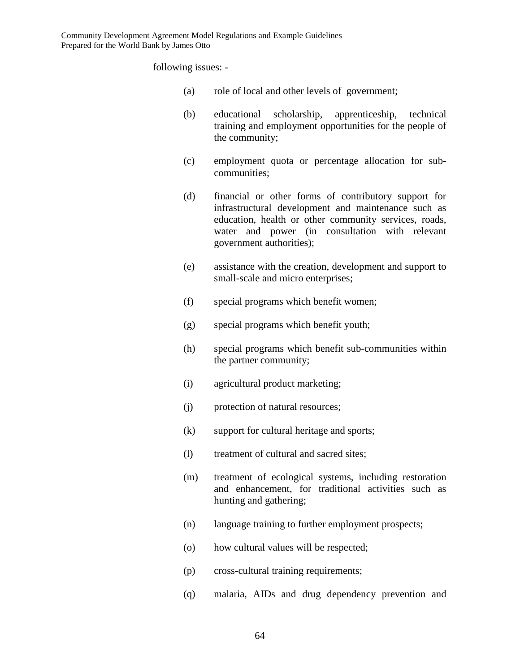following issues: -

- (a) role of local and other levels of government;
- (b) educational scholarship, apprenticeship, technical training and employment opportunities for the people of the community;
- (c) employment quota or percentage allocation for subcommunities;
- (d) financial or other forms of contributory support for infrastructural development and maintenance such as education, health or other community services, roads, water and power (in consultation with relevant government authorities);
- (e) assistance with the creation, development and support to small-scale and micro enterprises;
- (f) special programs which benefit women;
- (g) special programs which benefit youth;
- (h) special programs which benefit sub-communities within the partner community;
- (i) agricultural product marketing;
- (j) protection of natural resources;
- (k) support for cultural heritage and sports;
- (l) treatment of cultural and sacred sites;
- (m) treatment of ecological systems, including restoration and enhancement, for traditional activities such as hunting and gathering;
- (n) language training to further employment prospects;
- (o) how cultural values will be respected;
- (p) cross-cultural training requirements;
- (q) malaria, AIDs and drug dependency prevention and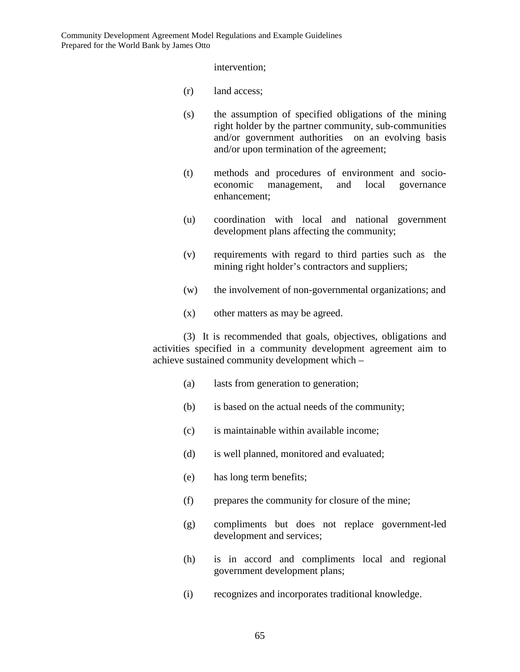intervention;

- (r) land access;
- (s) the assumption of specified obligations of the mining right holder by the partner community, sub-communities and/or government authorities on an evolving basis and/or upon termination of the agreement;
- (t) methods and procedures of environment and socioeconomic management, and local governance enhancement;
- (u) coordination with local and national government development plans affecting the community;
- (v) requirements with regard to third parties such as the mining right holder's contractors and suppliers;
- (w) the involvement of non-governmental organizations; and
- (x) other matters as may be agreed.

(3) It is recommended that goals, objectives, obligations and activities specified in a community development agreement aim to achieve sustained community development which –

- (a) lasts from generation to generation;
- (b) is based on the actual needs of the community;
- (c) is maintainable within available income;
- (d) is well planned, monitored and evaluated;
- (e) has long term benefits;
- (f) prepares the community for closure of the mine;
- (g) compliments but does not replace government-led development and services;
- (h) is in accord and compliments local and regional government development plans;
- (i) recognizes and incorporates traditional knowledge.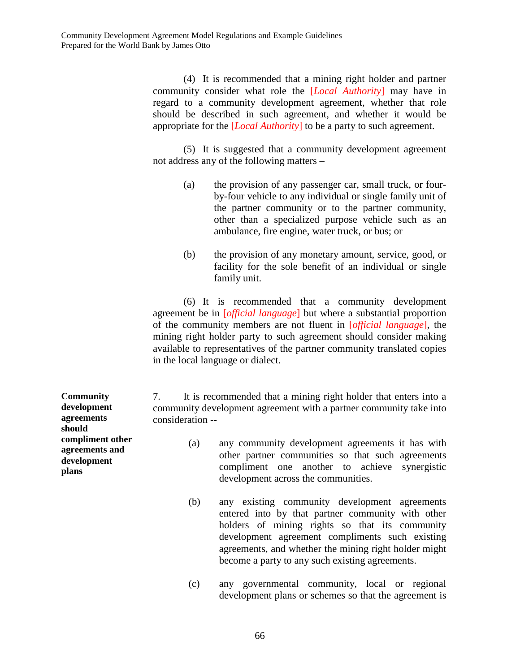(4) It is recommended that a mining right holder and partner community consider what role the [*Local Authority*] may have in regard to a community development agreement, whether that role should be described in such agreement, and whether it would be appropriate for the [*Local Authority*] to be a party to such agreement.

(5) It is suggested that a community development agreement not address any of the following matters –

- (a) the provision of any passenger car, small truck, or fourby-four vehicle to any individual or single family unit of the partner community or to the partner community, other than a specialized purpose vehicle such as an ambulance, fire engine, water truck, or bus; or
- (b) the provision of any monetary amount, service, good, or facility for the sole benefit of an individual or single family unit.

(6) It is recommended that a community development agreement be in [*official language*] but where a substantial proportion of the community members are not fluent in [*official language*], the mining right holder party to such agreement should consider making available to representatives of the partner community translated copies in the local language or dialect.

7. It is recommended that a mining right holder that enters into a community development agreement with a partner community take into consideration --

- (a) any community development agreements it has with other partner communities so that such agreements compliment one another to achieve synergistic development across the communities.
- (b) any existing community development agreements entered into by that partner community with other holders of mining rights so that its community development agreement compliments such existing agreements, and whether the mining right holder might become a party to any such existing agreements.
- (c) any governmental community, local or regional development plans or schemes so that the agreement is

**Community development agreements should compliment other agreements and development plans**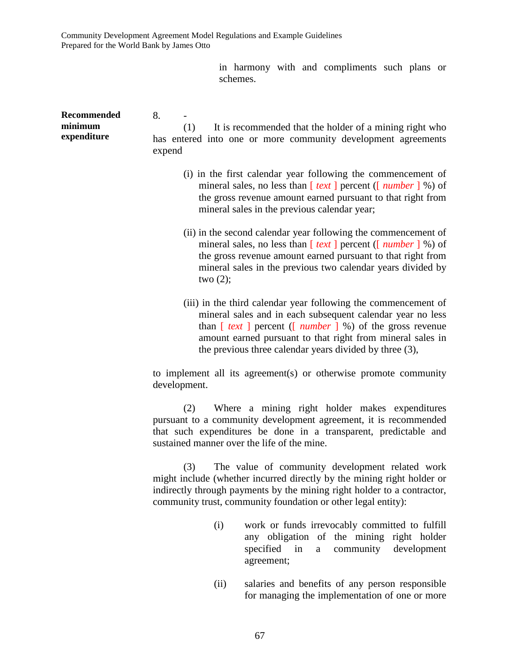> in harmony with and compliments such plans or schemes.

**Recommended minimum expenditure**  8. - (1) It is recommended that the holder of a mining right who has entered into one or more community development agreements expend (i) in the first calendar year following the commencement of mineral sales, no less than [ *text* ] percent ([ *number* ] %) of the gross revenue amount earned pursuant to that right from mineral sales in the previous calendar year; (ii) in the second calendar year following the commencement of mineral sales, no less than [ *text* ] percent ([ *number* ] %) of the gross revenue amount earned pursuant to that right from mineral sales in the previous two calendar years divided by two  $(2)$ ; (iii) in the third calendar year following the commencement of mineral sales and in each subsequent calendar year no less than [ *text* ] percent ([ *number* ] %) of the gross revenue amount earned pursuant to that right from mineral sales in the previous three calendar years divided by three (3), to implement all its agreement(s) or otherwise promote community development. (2) Where a mining right holder makes expenditures pursuant to a community development agreement, it is recommended that such expenditures be done in a transparent, predictable and sustained manner over the life of the mine. (3) The value of community development related work might include (whether incurred directly by the mining right holder or indirectly through payments by the mining right holder to a contractor, community trust, community foundation or other legal entity): (i) work or funds irrevocably committed to fulfill any obligation of the mining right holder

> (ii) salaries and benefits of any person responsible for managing the implementation of one or more

specified in a community development

agreement;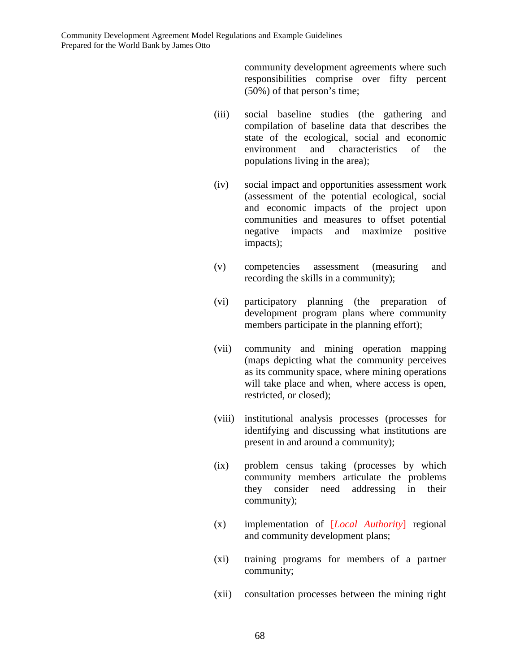community development agreements where such responsibilities comprise over fifty percent (50%) of that person's time;

- (iii) social baseline studies (the gathering and compilation of baseline data that describes the state of the ecological, social and economic environment and characteristics of the populations living in the area);
- (iv) social impact and opportunities assessment work (assessment of the potential ecological, social and economic impacts of the project upon communities and measures to offset potential negative impacts and maximize positive impacts);
- (v) competencies assessment (measuring and recording the skills in a community);
- (vi) participatory planning (the preparation of development program plans where community members participate in the planning effort);
- (vii) community and mining operation mapping (maps depicting what the community perceives as its community space, where mining operations will take place and when, where access is open, restricted, or closed);
- (viii) institutional analysis processes (processes for identifying and discussing what institutions are present in and around a community);
- (ix) problem census taking (processes by which community members articulate the problems they consider need addressing in their community);
- (x) implementation of [*Local Authority*] regional and community development plans;
- (xi) training programs for members of a partner community;
- (xii) consultation processes between the mining right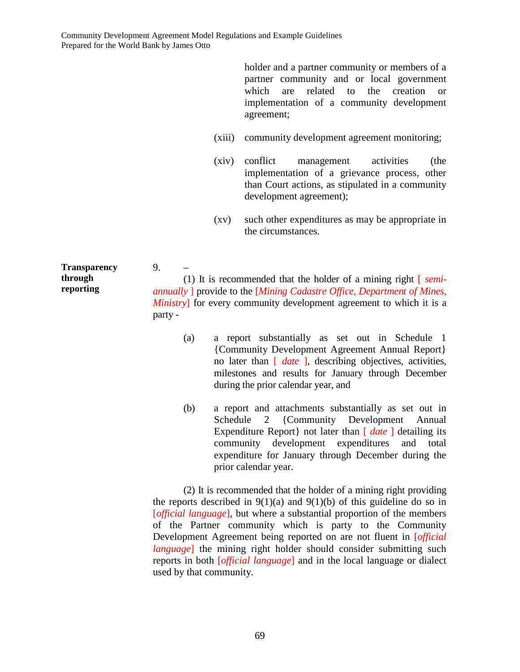holder and a partner community or members of a partner community and or local government which are related to the creation or implementation of a community development agreement;

- (xiii) community development agreement monitoring;
- (xiv) conflict management activities (the implementation of a grievance process, other than Court actions, as stipulated in a community development agreement);
- (xv) such other expenditures as may be appropriate in the circumstances.

**Transparency**  9. – (1) It is recommended that the holder of a mining right [ *semiannually* ] provide to the [*Mining Cadastre Office, Department of Mines, Ministry*] for every community development agreement to which it is a party -

- (a) a report substantially as set out in Schedule 1 {Community Development Agreement Annual Report} no later than [ *date* ], describing objectives, activities, milestones and results for January through December during the prior calendar year, and
- (b) a report and attachments substantially as set out in Schedule 2 {Community Development Annual Expenditure Report | not later than  $\int$  *date* | detailing its community development expenditures and total expenditure for January through December during the prior calendar year.

(2) It is recommended that the holder of a mining right providing the reports described in  $9(1)(a)$  and  $9(1)(b)$  of this guideline do so in [*official language*], but where a substantial proportion of the members of the Partner community which is party to the Community Development Agreement being reported on are not fluent in [*official language*] the mining right holder should consider submitting such reports in both [*official language*] and in the local language or dialect used by that community.

**through reporting**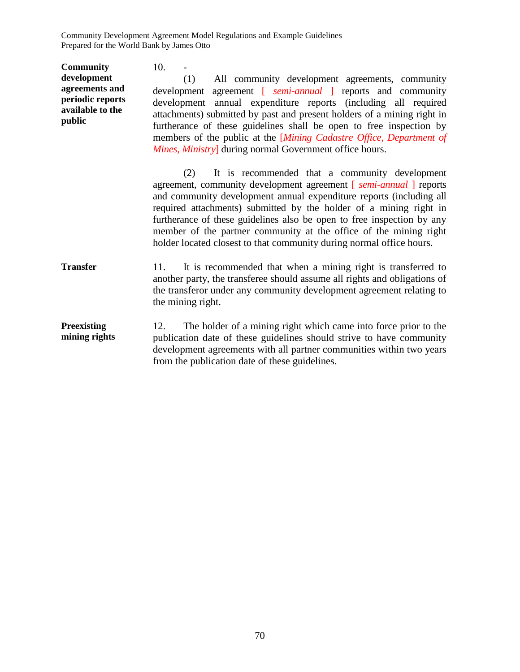**Community development agreements and periodic reports available to the public**  $10. -$ (1) All community development agreements, community development agreement [ *semi-annual* ] reports and community development annual expenditure reports (including all required attachments) submitted by past and present holders of a mining right in furtherance of these guidelines shall be open to free inspection by members of the public at the [*Mining Cadastre Office, Department of Mines, Ministry*] during normal Government office hours. (2) It is recommended that a community development agreement, community development agreement [ *semi-annual* ] reports and community development annual expenditure reports (including all required attachments) submitted by the holder of a mining right in furtherance of these guidelines also be open to free inspection by any member of the partner community at the office of the mining right holder located closest to that community during normal office hours. **Transfer** 11. It is recommended that when a mining right is transferred to another party, the transferee should assume all rights and obligations of the transferor under any community development agreement relating to the mining right. **Preexisting mining rights**  12. The holder of a mining right which came into force prior to the publication date of these guidelines should strive to have community development agreements with all partner communities within two years from the publication date of these guidelines.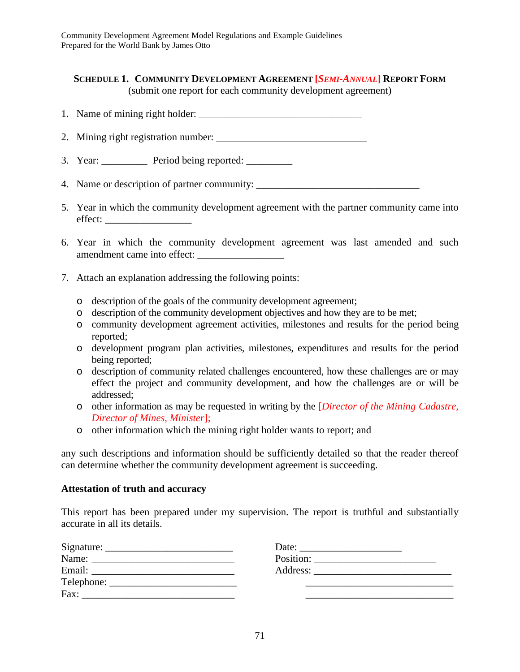## **SCHEDULE 1. COMMUNITY DEVELOPMENT AGREEMENT [***SEMI-ANNUAL***] REPORT FORM** (submit one report for each community development agreement)

- 1. Name of mining right holder:
- 2. Mining right registration number:
- 3. Year: \_\_\_\_\_\_\_\_\_\_\_ Period being reported: \_\_\_\_\_\_\_\_\_
- 4. Name or description of partner community:
- 5. Year in which the community development agreement with the partner community came into effect: \_\_\_\_\_\_\_\_\_\_\_\_\_\_\_\_\_
- 6. Year in which the community development agreement was last amended and such amendment came into effect:
- 7. Attach an explanation addressing the following points:
	- o description of the goals of the community development agreement;
	- o description of the community development objectives and how they are to be met;
	- o community development agreement activities, milestones and results for the period being reported;
	- o development program plan activities, milestones, expenditures and results for the period being reported;
	- o description of community related challenges encountered, how these challenges are or may effect the project and community development, and how the challenges are or will be addressed;
	- o other information as may be requested in writing by the [*Director of the Mining Cadastre, Director of Mines, Minister*];
	- o other information which the mining right holder wants to report; and

any such descriptions and information should be sufficiently detailed so that the reader thereof can determine whether the community development agreement is succeeding.

### **Attestation of truth and accuracy**

This report has been prepared under my supervision. The report is truthful and substantially accurate in all its details.

| Signature:<br><u> 1989 - Johann John Stone, markin amerikan basal dan berkembang di banyak di banyak di banyak di banyak di ban</u> | Date:<br>the contract of the contract of the contract of the contract of the contract of the contract of the contract of            |
|-------------------------------------------------------------------------------------------------------------------------------------|-------------------------------------------------------------------------------------------------------------------------------------|
| Name:<br>the contract of the contract of the contract of the contract of the contract of the contract of the contract of            | Position:<br><u> 1980 - Jan Stein Harry Harry Harry Harry Harry Harry Harry Harry Harry Harry Harry Harry Harry Harry Harry Har</u> |
| Email:                                                                                                                              | Address:                                                                                                                            |
| Telephone:                                                                                                                          |                                                                                                                                     |
| Fax:                                                                                                                                |                                                                                                                                     |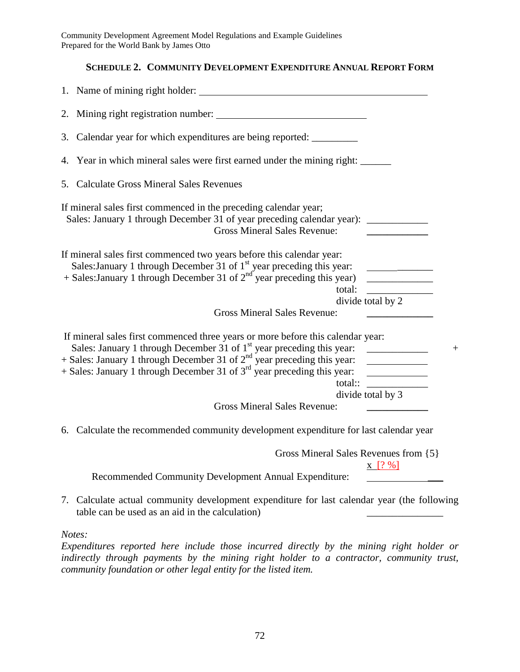## **SCHEDULE 2. COMMUNITY DEVELOPMENT EXPENDITURE ANNUAL REPORT FORM**

| 1. Name of mining right holder:                                                                                                                                                                                                                                                                                                  |                                                                                                                       |
|----------------------------------------------------------------------------------------------------------------------------------------------------------------------------------------------------------------------------------------------------------------------------------------------------------------------------------|-----------------------------------------------------------------------------------------------------------------------|
| 2. Mining right registration number:                                                                                                                                                                                                                                                                                             |                                                                                                                       |
| 3. Calendar year for which expenditures are being reported: __________                                                                                                                                                                                                                                                           |                                                                                                                       |
| 4. Year in which mineral sales were first earned under the mining right:                                                                                                                                                                                                                                                         |                                                                                                                       |
| 5. Calculate Gross Mineral Sales Revenues                                                                                                                                                                                                                                                                                        |                                                                                                                       |
| If mineral sales first commenced in the preceding calendar year;<br>Sales: January 1 through December 31 of year preceding calendar year): _________<br><b>Gross Mineral Sales Revenue:</b>                                                                                                                                      |                                                                                                                       |
| If mineral sales first commenced two years before this calendar year:<br>Sales: January 1 through December 31 of $1st$ year preceding this year:<br>+ Sales: January 1 through December 31 of $2nd$ year preceding this year)<br>total:                                                                                          | <u> Alexandria de Alexandria de Alexandria de Alexandria de Alexandria de Alexandria de Alexandria de Alexandria </u> |
| <b>Gross Mineral Sales Revenue:</b>                                                                                                                                                                                                                                                                                              | divide total by 2                                                                                                     |
| If mineral sales first commenced three years or more before this calendar year:<br>Sales: January 1 through December 31 of 1 <sup>st</sup> year preceding this year:<br>$+$ Sales: January 1 through December 31 of $2nd$ year preceding this year:<br>+ Sales: January 1 through December 31 of $3rd$ year preceding this year: | <u> 1990 - Jan Barnett, fransk politiker</u><br>total:: $\qquad \qquad$                                               |
| <b>Gross Mineral Sales Revenue:</b>                                                                                                                                                                                                                                                                                              | divide total by 3                                                                                                     |
| 6. Calculate the recommended community development expenditure for last calendar year                                                                                                                                                                                                                                            |                                                                                                                       |
| Gross Mineral Sales Revenues from {5}                                                                                                                                                                                                                                                                                            |                                                                                                                       |
| Recommended Community Development Annual Expenditure:                                                                                                                                                                                                                                                                            | $X [? \%]$                                                                                                            |
| 7. Calculate actual community development expenditure for last calendar year (the following                                                                                                                                                                                                                                      |                                                                                                                       |

7. Calculate actual community development expenditure for last calendar year (the following table can be used as an aid in the calculation) \_\_\_\_\_\_\_\_\_\_\_\_\_\_\_

*Notes:* 

*Expenditures reported here include those incurred directly by the mining right holder or indirectly through payments by the mining right holder to a contractor, community trust, community foundation or other legal entity for the listed item.*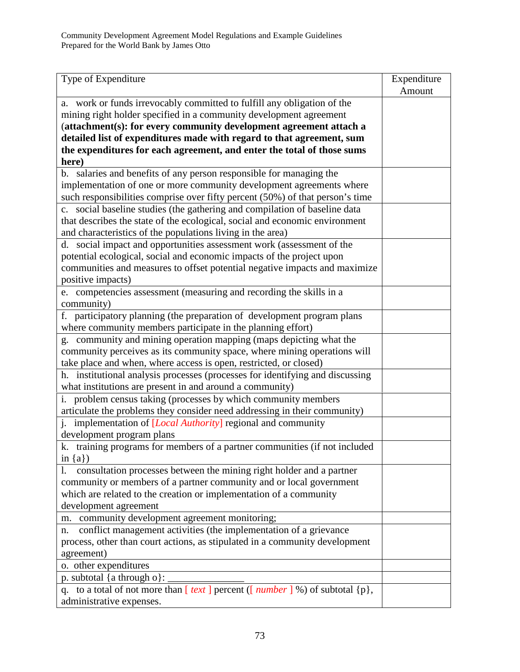| Type of Expenditure                                                                                                                                             | Expenditure |
|-----------------------------------------------------------------------------------------------------------------------------------------------------------------|-------------|
|                                                                                                                                                                 | Amount      |
| a. work or funds irrevocably committed to fulfill any obligation of the                                                                                         |             |
| mining right holder specified in a community development agreement                                                                                              |             |
| (attachment(s): for every community development agreement attach a                                                                                              |             |
| detailed list of expenditures made with regard to that agreement, sum                                                                                           |             |
| the expenditures for each agreement, and enter the total of those sums                                                                                          |             |
| here)                                                                                                                                                           |             |
| b. salaries and benefits of any person responsible for managing the                                                                                             |             |
| implementation of one or more community development agreements where                                                                                            |             |
| such responsibilities comprise over fifty percent (50%) of that person's time                                                                                   |             |
| c. social baseline studies (the gathering and compilation of baseline data                                                                                      |             |
| that describes the state of the ecological, social and economic environment                                                                                     |             |
| and characteristics of the populations living in the area)                                                                                                      |             |
| d. social impact and opportunities assessment work (assessment of the<br>potential ecological, social and economic impacts of the project upon                  |             |
|                                                                                                                                                                 |             |
| communities and measures to offset potential negative impacts and maximize<br>positive impacts)                                                                 |             |
| e. competencies assessment (measuring and recording the skills in a                                                                                             |             |
| community)                                                                                                                                                      |             |
| f. participatory planning (the preparation of development program plans                                                                                         |             |
| where community members participate in the planning effort)                                                                                                     |             |
| g. community and mining operation mapping (maps depicting what the                                                                                              |             |
| community perceives as its community space, where mining operations will                                                                                        |             |
| take place and when, where access is open, restricted, or closed)                                                                                               |             |
| h. institutional analysis processes (processes for identifying and discussing                                                                                   |             |
| what institutions are present in and around a community)                                                                                                        |             |
| i. problem census taking (processes by which community members                                                                                                  |             |
| articulate the problems they consider need addressing in their community)                                                                                       |             |
| j. implementation of [Local Authority] regional and community                                                                                                   |             |
| development program plans                                                                                                                                       |             |
| k. training programs for members of a partner communities (if not included                                                                                      |             |
| in ${a}$ )                                                                                                                                                      |             |
| consultation processes between the mining right holder and a partner<br>1.                                                                                      |             |
| community or members of a partner community and or local government                                                                                             |             |
| which are related to the creation or implementation of a community                                                                                              |             |
| development agreement                                                                                                                                           |             |
| m. community development agreement monitoring;                                                                                                                  |             |
| conflict management activities (the implementation of a grievance<br>n.                                                                                         |             |
| process, other than court actions, as stipulated in a community development                                                                                     |             |
| agreement)                                                                                                                                                      |             |
| o. other expenditures                                                                                                                                           |             |
| p. subtotal {a through o}:<br>q. to a total of not more than $\left[\overline{text}\right]$ percent ( $\left[\overline{number}\right]$ %) of subtotal $\{p\}$ , |             |
| administrative expenses.                                                                                                                                        |             |
|                                                                                                                                                                 |             |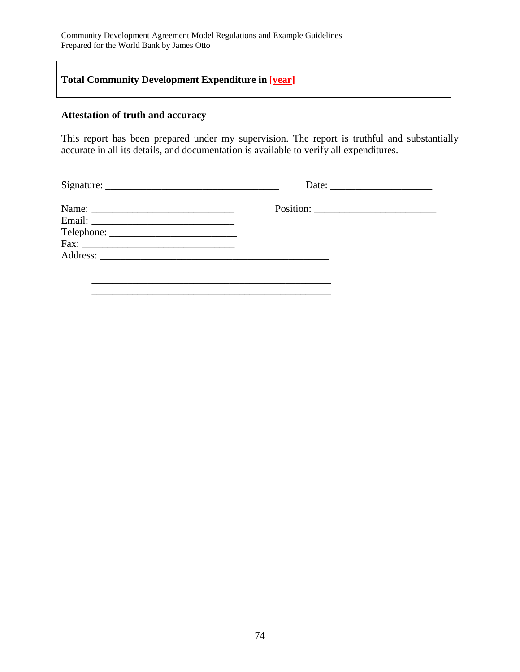| <b>Total Community Development Expenditure in [year]</b> |  |
|----------------------------------------------------------|--|
|                                                          |  |

# **Attestation of truth and accuracy**

This report has been prepared under my supervision. The report is truthful and substantially accurate in all its details, and documentation is available to verify all expenditures.

| Name: $\frac{1}{\sqrt{1-\frac{1}{2}}\sqrt{1-\frac{1}{2}}\sqrt{1-\frac{1}{2}}\sqrt{1-\frac{1}{2}}\sqrt{1-\frac{1}{2}}\sqrt{1-\frac{1}{2}}\sqrt{1-\frac{1}{2}}\sqrt{1-\frac{1}{2}}\sqrt{1-\frac{1}{2}}\sqrt{1-\frac{1}{2}}\sqrt{1-\frac{1}{2}}\sqrt{1-\frac{1}{2}}\sqrt{1-\frac{1}{2}}\sqrt{1-\frac{1}{2}}\sqrt{1-\frac{1}{2}}\sqrt{1-\frac{1}{2}}\sqrt{1-\frac{1}{2}}\sqrt{1-\frac{1}{2}}\sqrt{1-\frac{1}{2}}$ |  |
|---------------------------------------------------------------------------------------------------------------------------------------------------------------------------------------------------------------------------------------------------------------------------------------------------------------------------------------------------------------------------------------------------------------|--|
|                                                                                                                                                                                                                                                                                                                                                                                                               |  |
|                                                                                                                                                                                                                                                                                                                                                                                                               |  |
|                                                                                                                                                                                                                                                                                                                                                                                                               |  |
|                                                                                                                                                                                                                                                                                                                                                                                                               |  |
|                                                                                                                                                                                                                                                                                                                                                                                                               |  |
|                                                                                                                                                                                                                                                                                                                                                                                                               |  |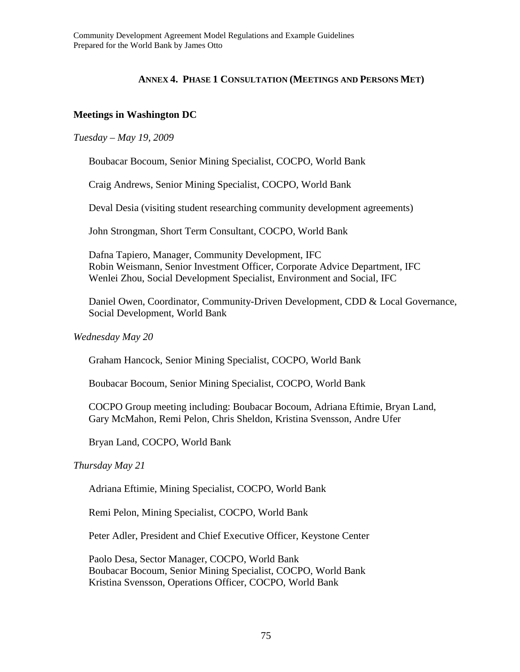### **ANNEX 4. PHASE 1 CONSULTATION (MEETINGS AND PERSONS MET)**

## **Meetings in Washington DC**

### *Tuesday – May 19, 2009*

Boubacar Bocoum, Senior Mining Specialist, COCPO, World Bank

Craig Andrews, Senior Mining Specialist, COCPO, World Bank

Deval Desia (visiting student researching community development agreements)

John Strongman, Short Term Consultant, COCPO, World Bank

Dafna Tapiero, Manager, Community Development, IFC Robin Weismann, Senior Investment Officer, Corporate Advice Department, IFC Wenlei Zhou, Social Development Specialist, Environment and Social, IFC

Daniel Owen, Coordinator, Community-Driven Development, CDD & Local Governance, Social Development, World Bank

#### *Wednesday May 20*

Graham Hancock, Senior Mining Specialist, COCPO, World Bank

Boubacar Bocoum, Senior Mining Specialist, COCPO, World Bank

COCPO Group meeting including: Boubacar Bocoum, Adriana Eftimie, Bryan Land, Gary McMahon, Remi Pelon, Chris Sheldon, Kristina Svensson, Andre Ufer

Bryan Land, COCPO, World Bank

#### *Thursday May 21*

Adriana Eftimie, Mining Specialist, COCPO, World Bank

Remi Pelon, Mining Specialist, COCPO, World Bank

Peter Adler, President and Chief Executive Officer, Keystone Center

Paolo Desa, Sector Manager, COCPO, World Bank Boubacar Bocoum, Senior Mining Specialist, COCPO, World Bank Kristina Svensson, Operations Officer, COCPO, World Bank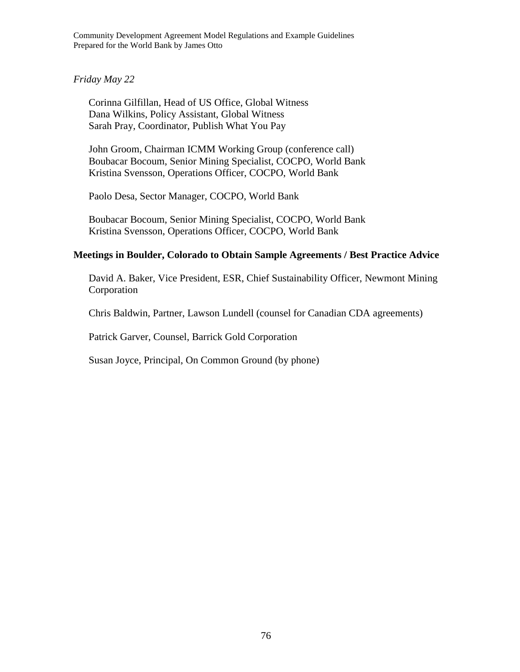*Friday May 22* 

Corinna Gilfillan, Head of US Office, Global Witness Dana Wilkins, Policy Assistant, Global Witness Sarah Pray, Coordinator, Publish What You Pay

John Groom, Chairman ICMM Working Group (conference call) Boubacar Bocoum, Senior Mining Specialist, COCPO, World Bank Kristina Svensson, Operations Officer, COCPO, World Bank

Paolo Desa, Sector Manager, COCPO, World Bank

Boubacar Bocoum, Senior Mining Specialist, COCPO, World Bank Kristina Svensson, Operations Officer, COCPO, World Bank

## **Meetings in Boulder, Colorado to Obtain Sample Agreements / Best Practice Advice**

David A. Baker, Vice President, ESR, Chief Sustainability Officer, Newmont Mining Corporation

Chris Baldwin, Partner, Lawson Lundell (counsel for Canadian CDA agreements)

Patrick Garver, Counsel, Barrick Gold Corporation

Susan Joyce, Principal, On Common Ground (by phone)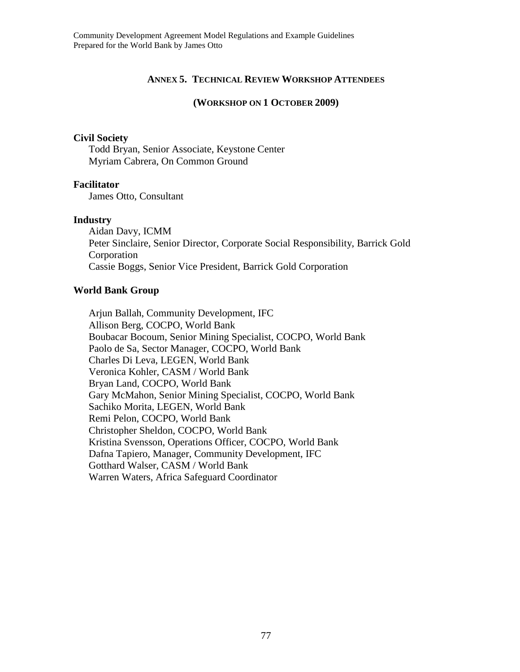### **ANNEX 5. TECHNICAL REVIEW WORKSHOP ATTENDEES**

#### **(WORKSHOP ON 1 OCTOBER 2009)**

#### **Civil Society**

Todd Bryan, Senior Associate, Keystone Center Myriam Cabrera, On Common Ground

#### **Facilitator**

James Otto, Consultant

#### **Industry**

Aidan Davy, ICMM Peter Sinclaire, Senior Director, Corporate Social Responsibility, Barrick Gold Corporation Cassie Boggs, Senior Vice President, Barrick Gold Corporation

#### **World Bank Group**

Arjun Ballah, Community Development, IFC Allison Berg, COCPO, World Bank Boubacar Bocoum, Senior Mining Specialist, COCPO, World Bank Paolo de Sa, Sector Manager, COCPO, World Bank Charles Di Leva, LEGEN, World Bank Veronica Kohler, CASM / World Bank Bryan Land, COCPO, World Bank Gary McMahon, Senior Mining Specialist, COCPO, World Bank Sachiko Morita, LEGEN, World Bank Remi Pelon, COCPO, World Bank Christopher Sheldon, COCPO, World Bank Kristina Svensson, Operations Officer, COCPO, World Bank Dafna Tapiero, Manager, Community Development, IFC Gotthard Walser, CASM / World Bank Warren Waters, Africa Safeguard Coordinator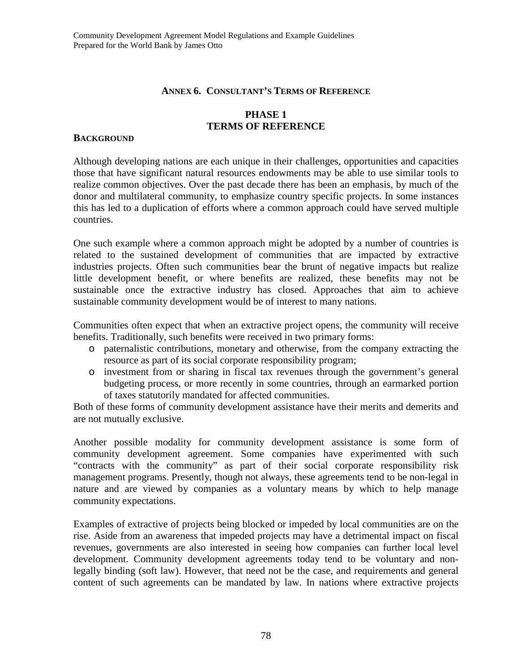## **ANNEX 6. CONSULTANT'S TERMS OF REFERENCE**

## **PHASE 1 TERMS OF REFERENCE**

#### **BACKGROUND**

Although developing nations are each unique in their challenges, opportunities and capacities those that have significant natural resources endowments may be able to use similar tools to realize common objectives. Over the past decade there has been an emphasis, by much of the donor and multilateral community, to emphasize country specific projects. In some instances this has led to a duplication of efforts where a common approach could have served multiple countries.

One such example where a common approach might be adopted by a number of countries is related to the sustained development of communities that are impacted by extractive industries projects. Often such communities bear the brunt of negative impacts but realize little development benefit, or where benefits are realized, these benefits may not be sustainable once the extractive industry has closed. Approaches that aim to achieve sustainable community development would be of interest to many nations.

Communities often expect that when an extractive project opens, the community will receive benefits. Traditionally, such benefits were received in two primary forms:

- o paternalistic contributions, monetary and otherwise, from the company extracting the resource as part of its social corporate responsibility program;
- o investment from or sharing in fiscal tax revenues through the government's general budgeting process, or more recently in some countries, through an earmarked portion of taxes statutorily mandated for affected communities.

Both of these forms of community development assistance have their merits and demerits and are not mutually exclusive.

Another possible modality for community development assistance is some form of community development agreement. Some companies have experimented with such "contracts with the community" as part of their social corporate responsibility risk management programs. Presently, though not always, these agreements tend to be non-legal in nature and are viewed by companies as a voluntary means by which to help manage community expectations.

Examples of extractive of projects being blocked or impeded by local communities are on the rise. Aside from an awareness that impeded projects may have a detrimental impact on fiscal revenues, governments are also interested in seeing how companies can further local level development. Community development agreements today tend to be voluntary and nonlegally binding (soft law). However, that need not be the case, and requirements and general content of such agreements can be mandated by law. In nations where extractive projects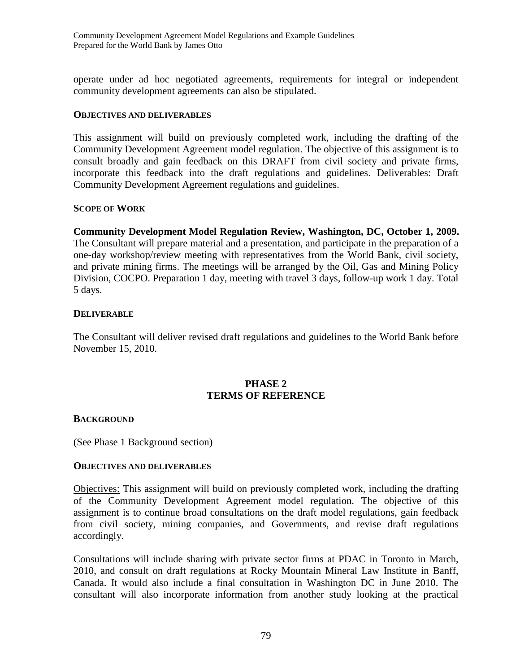operate under ad hoc negotiated agreements, requirements for integral or independent community development agreements can also be stipulated.

#### **OBJECTIVES AND DELIVERABLES**

This assignment will build on previously completed work, including the drafting of the Community Development Agreement model regulation. The objective of this assignment is to consult broadly and gain feedback on this DRAFT from civil society and private firms, incorporate this feedback into the draft regulations and guidelines. Deliverables: Draft Community Development Agreement regulations and guidelines.

#### **SCOPE OF WORK**

**Community Development Model Regulation Review, Washington, DC, October 1, 2009.** The Consultant will prepare material and a presentation, and participate in the preparation of a one-day workshop/review meeting with representatives from the World Bank, civil society, and private mining firms. The meetings will be arranged by the Oil, Gas and Mining Policy Division, COCPO. Preparation 1 day, meeting with travel 3 days, follow-up work 1 day. Total 5 days.

#### **DELIVERABLE**

The Consultant will deliver revised draft regulations and guidelines to the World Bank before November 15, 2010.

# **PHASE 2 TERMS OF REFERENCE**

#### **BACKGROUND**

(See Phase 1 Background section)

#### **OBJECTIVES AND DELIVERABLES**

Objectives: This assignment will build on previously completed work, including the drafting of the Community Development Agreement model regulation. The objective of this assignment is to continue broad consultations on the draft model regulations, gain feedback from civil society, mining companies, and Governments, and revise draft regulations accordingly.

Consultations will include sharing with private sector firms at PDAC in Toronto in March, 2010, and consult on draft regulations at Rocky Mountain Mineral Law Institute in Banff, Canada. It would also include a final consultation in Washington DC in June 2010. The consultant will also incorporate information from another study looking at the practical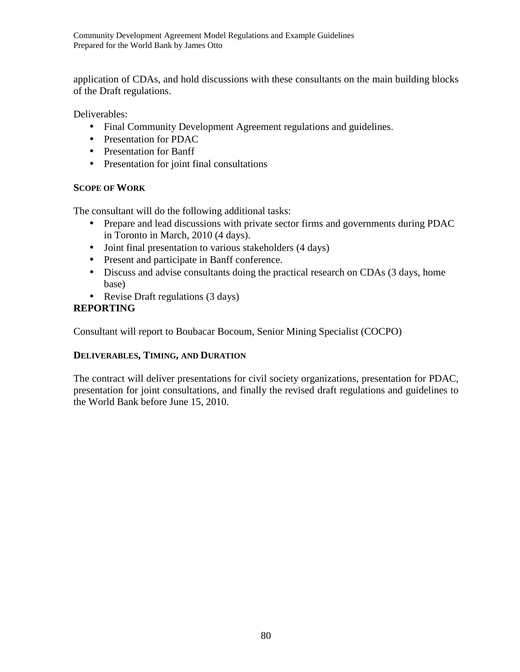application of CDAs, and hold discussions with these consultants on the main building blocks of the Draft regulations.

Deliverables:

- Final Community Development Agreement regulations and guidelines.
- Presentation for PDAC
- Presentation for Banff
- Presentation for joint final consultations

# **SCOPE OF WORK**

The consultant will do the following additional tasks:

- Prepare and lead discussions with private sector firms and governments during PDAC in Toronto in March, 2010 (4 days).
- Joint final presentation to various stakeholders (4 days)
- Present and participate in Banff conference.
- Discuss and advise consultants doing the practical research on CDAs (3 days, home base)
- Revise Draft regulations (3 days)

# **REPORTING**

Consultant will report to Boubacar Bocoum, Senior Mining Specialist (COCPO)

# **DELIVERABLES, TIMING, AND DURATION**

The contract will deliver presentations for civil society organizations, presentation for PDAC, presentation for joint consultations, and finally the revised draft regulations and guidelines to the World Bank before June 15, 2010.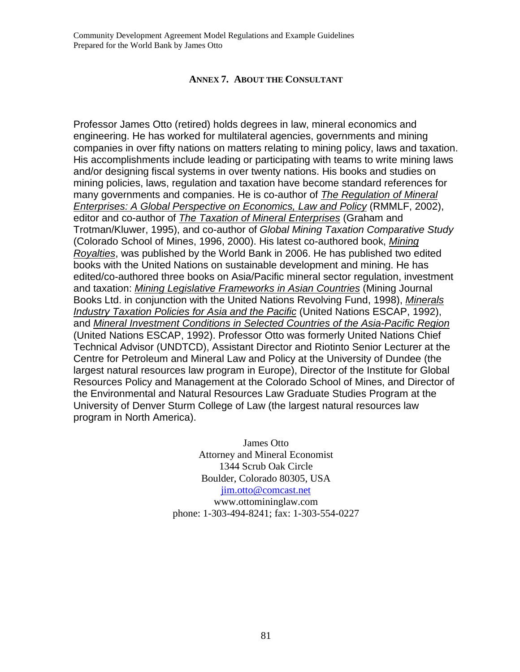## **ANNEX 7. ABOUT THE CONSULTANT**

Professor James Otto (retired) holds degrees in law, mineral economics and engineering. He has worked for multilateral agencies, governments and mining companies in over fifty nations on matters relating to mining policy, laws and taxation. His accomplishments include leading or participating with teams to write mining laws and/or designing fiscal systems in over twenty nations. His books and studies on mining policies, laws, regulation and taxation have become standard references for many governments and companies. He is co-author of The Regulation of Mineral Enterprises: A Global Perspective on Economics, Law and Policy (RMMLF, 2002), editor and co-author of The Taxation of Mineral Enterprises (Graham and Trotman/Kluwer, 1995), and co-author of Global Mining Taxation Comparative Study (Colorado School of Mines, 1996, 2000). His latest co-authored book, Mining Royalties, was published by the World Bank in 2006. He has published two edited books with the United Nations on sustainable development and mining. He has edited/co-authored three books on Asia/Pacific mineral sector regulation, investment and taxation: Mining Legislative Frameworks in Asian Countries (Mining Journal Books Ltd. in conjunction with the United Nations Revolving Fund, 1998), Minerals Industry Taxation Policies for Asia and the Pacific (United Nations ESCAP, 1992), and Mineral Investment Conditions in Selected Countries of the Asia-Pacific Region (United Nations ESCAP, 1992). Professor Otto was formerly United Nations Chief Technical Advisor (UNDTCD), Assistant Director and Riotinto Senior Lecturer at the Centre for Petroleum and Mineral Law and Policy at the University of Dundee (the largest natural resources law program in Europe), Director of the Institute for Global Resources Policy and Management at the Colorado School of Mines, and Director of the Environmental and Natural Resources Law Graduate Studies Program at the University of Denver Sturm College of Law (the largest natural resources law program in North America).

> James Otto Attorney and Mineral Economist 1344 Scrub Oak Circle Boulder, Colorado 80305, USA jim.otto@comcast.net www.ottomininglaw.com phone: 1-303-494-8241; fax: 1-303-554-0227